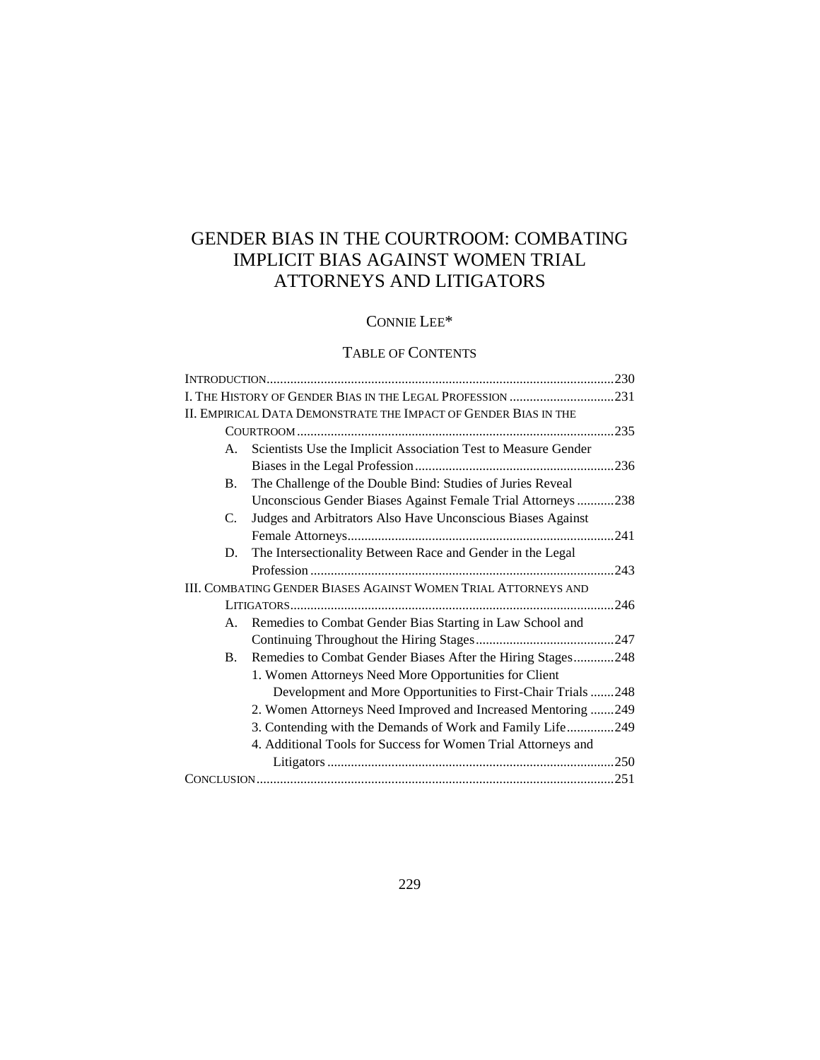# GENDER BIAS IN THE COURTROOM: COMBATING IMPLICIT BIAS AGAINST WOMEN TRIAL ATTORNEYS AND LITIGATORS

## CONNIE LEE\*

## TABLE OF CONTENTS

|           | II. EMPIRICAL DATA DEMONSTRATE THE IMPACT OF GENDER BIAS IN THE       |      |
|-----------|-----------------------------------------------------------------------|------|
|           |                                                                       | .235 |
| А.        | Scientists Use the Implicit Association Test to Measure Gender        |      |
|           |                                                                       |      |
| <b>B.</b> | The Challenge of the Double Bind: Studies of Juries Reveal            |      |
|           | Unconscious Gender Biases Against Female Trial Attorneys238           |      |
| C.        | Judges and Arbitrators Also Have Unconscious Biases Against           |      |
|           |                                                                       | .241 |
| D.        | The Intersectionality Between Race and Gender in the Legal            |      |
|           |                                                                       | .243 |
|           | <b>III. COMBATING GENDER BIASES AGAINST WOMEN TRIAL ATTORNEYS AND</b> |      |
|           |                                                                       | .246 |
| А.        | Remedies to Combat Gender Bias Starting in Law School and             |      |
|           |                                                                       |      |
| <b>B.</b> | Remedies to Combat Gender Biases After the Hiring Stages248           |      |
|           | 1. Women Attorneys Need More Opportunities for Client                 |      |
|           | Development and More Opportunities to First-Chair Trials 248          |      |
|           | 2. Women Attorneys Need Improved and Increased Mentoring 249          |      |
|           | 3. Contending with the Demands of Work and Family Life249             |      |
|           | 4. Additional Tools for Success for Women Trial Attorneys and         |      |
|           |                                                                       |      |
|           |                                                                       |      |
|           |                                                                       |      |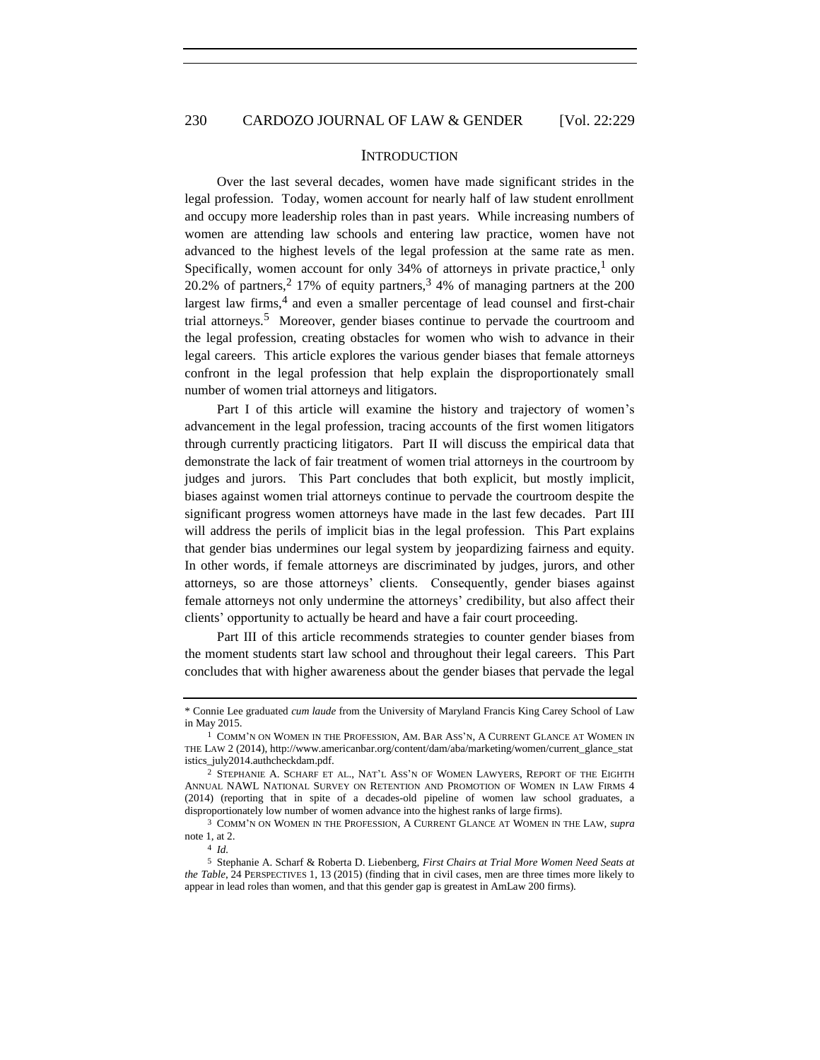### **INTRODUCTION**

<span id="page-1-0"></span>Over the last several decades, women have made significant strides in the legal profession. Today, women account for nearly half of law student enrollment and occupy more leadership roles than in past years. While increasing numbers of women are attending law schools and entering law practice, women have not advanced to the highest levels of the legal profession at the same rate as men. Specifically, women account for only  $34\%$  of attorneys in private practice,<sup>1</sup> only 20.2% of partners,<sup>2</sup> 17% of equity partners,<sup>3</sup> 4% of managing partners at the 200 largest law firms,<sup>4</sup> and even a smaller percentage of lead counsel and first-chair trial attorneys.<sup>5</sup> Moreover, gender biases continue to pervade the courtroom and the legal profession, creating obstacles for women who wish to advance in their legal careers. This article explores the various gender biases that female attorneys confront in the legal profession that help explain the disproportionately small number of women trial attorneys and litigators.

Part I of this article will examine the history and trajectory of women's advancement in the legal profession, tracing accounts of the first women litigators through currently practicing litigators. Part II will discuss the empirical data that demonstrate the lack of fair treatment of women trial attorneys in the courtroom by judges and jurors. This Part concludes that both explicit, but mostly implicit, biases against women trial attorneys continue to pervade the courtroom despite the significant progress women attorneys have made in the last few decades. Part III will address the perils of implicit bias in the legal profession. This Part explains that gender bias undermines our legal system by jeopardizing fairness and equity. In other words, if female attorneys are discriminated by judges, jurors, and other attorneys, so are those attorneys' clients. Consequently, gender biases against female attorneys not only undermine the attorneys' credibility, but also affect their clients' opportunity to actually be heard and have a fair court proceeding.

Part III of this article recommends strategies to counter gender biases from the moment students start law school and throughout their legal careers. This Part concludes that with higher awareness about the gender biases that pervade the legal

<sup>\*</sup> Connie Lee graduated *cum laude* from the University of Maryland Francis King Carey School of Law in May 2015.

<sup>1</sup> COMM'N ON WOMEN IN THE PROFESSION, AM. BAR ASS'N, A CURRENT GLANCE AT WOMEN IN THE LAW 2 (2014), http://www.americanbar.org/content/dam/aba/marketing/women/current\_glance\_stat istics\_july2014.authcheckdam.pdf.

<sup>2</sup> STEPHANIE A. SCHARF ET AL., NAT'L ASS'N OF WOMEN LAWYERS, REPORT OF THE EIGHTH ANNUAL NAWL NATIONAL SURVEY ON RETENTION AND PROMOTION OF WOMEN IN LAW FIRMS 4 (2014) (reporting that in spite of a decades-old pipeline of women law school graduates, a disproportionately low number of women advance into the highest ranks of large firms).

<sup>3</sup> COMM'N ON WOMEN IN THE PROFESSION, A CURRENT GLANCE AT WOMEN IN THE LAW, *supra* note 1, at 2.

<sup>4</sup> *Id.*

<sup>5</sup> Stephanie A. Scharf & Roberta D. Liebenberg, *First Chairs at Trial More Women Need Seats at the Table*, 24 PERSPECTIVES 1, 13 (2015) (finding that in civil cases, men are three times more likely to appear in lead roles than women, and that this gender gap is greatest in AmLaw 200 firms).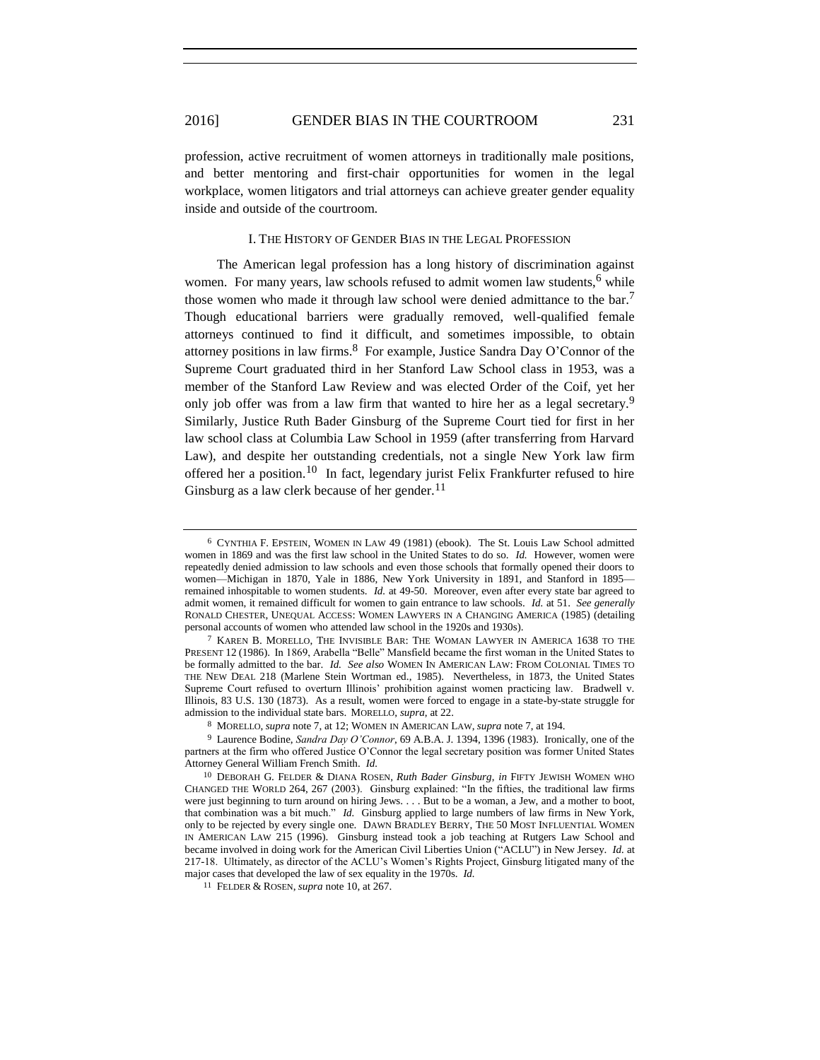profession, active recruitment of women attorneys in traditionally male positions, and better mentoring and first-chair opportunities for women in the legal workplace, women litigators and trial attorneys can achieve greater gender equality inside and outside of the courtroom.

#### I. THE HISTORY OF GENDER BIAS IN THE LEGAL PROFESSION

<span id="page-2-0"></span>The American legal profession has a long history of discrimination against women. For many years, law schools refused to admit women law students, <sup>6</sup> while those women who made it through law school were denied admittance to the bar.<sup>7</sup> Though educational barriers were gradually removed, well-qualified female attorneys continued to find it difficult, and sometimes impossible, to obtain attorney positions in law firms.<sup>8</sup> For example, Justice Sandra Day O'Connor of the Supreme Court graduated third in her Stanford Law School class in 1953, was a member of the Stanford Law Review and was elected Order of the Coif, yet her only job offer was from a law firm that wanted to hire her as a legal secretary.<sup>9</sup> Similarly, Justice Ruth Bader Ginsburg of the Supreme Court tied for first in her law school class at Columbia Law School in 1959 (after transferring from Harvard Law), and despite her outstanding credentials, not a single New York law firm offered her a position.<sup>10</sup> In fact, legendary jurist Felix Frankfurter refused to hire Ginsburg as a law clerk because of her gender.<sup>11</sup>

<sup>6</sup> CYNTHIA F. EPSTEIN, WOMEN IN LAW 49 (1981) (ebook). The St. Louis Law School admitted women in 1869 and was the first law school in the United States to do so. *Id.* However, women were repeatedly denied admission to law schools and even those schools that formally opened their doors to women—Michigan in 1870, Yale in 1886, New York University in 1891, and Stanford in 1895 remained inhospitable to women students. *Id.* at 49-50. Moreover, even after every state bar agreed to admit women, it remained difficult for women to gain entrance to law schools. *Id.* at 51. *See generally* RONALD CHESTER, UNEQUAL ACCESS: WOMEN LAWYERS IN A CHANGING AMERICA (1985) (detailing personal accounts of women who attended law school in the 1920s and 1930s).

<sup>7</sup> KAREN B. MORELLO, THE INVISIBLE BAR: THE WOMAN LAWYER IN AMERICA 1638 TO THE PRESENT 12 (1986). In 1869, Arabella "Belle" Mansfield became the first woman in the United States to be formally admitted to the bar. *Id. See also* WOMEN IN AMERICAN LAW: FROM COLONIAL TIMES TO THE NEW DEAL 218 (Marlene Stein Wortman ed., 1985). Nevertheless, in 1873, the United States Supreme Court refused to overturn Illinois' prohibition against women practicing law. Bradwell v. Illinois, 83 U.S. 130 (1873). As a result, women were forced to engage in a state-by-state struggle for admission to the individual state bars. MORELLO, *supra*, at 22.

<sup>8</sup> MORELLO, *supra* note 7, at 12; WOMEN IN AMERICAN LAW, *supra* note 7, at 194.

<sup>9</sup> Laurence Bodine, *Sandra Day O'Connor*, 69 A.B.A. J. 1394, 1396 (1983). Ironically, one of the partners at the firm who offered Justice O'Connor the legal secretary position was former United States Attorney General William French Smith. *Id.*

<sup>10</sup> DEBORAH G. FELDER & DIANA ROSEN, *Ruth Bader Ginsburg*, *in* FIFTY JEWISH WOMEN WHO CHANGED THE WORLD 264, 267 (2003). Ginsburg explained: "In the fifties, the traditional law firms were just beginning to turn around on hiring Jews. . . . But to be a woman, a Jew, and a mother to boot, that combination was a bit much." *Id.* Ginsburg applied to large numbers of law firms in New York, only to be rejected by every single one. DAWN BRADLEY BERRY, THE 50 MOST INFLUENTIAL WOMEN IN AMERICAN LAW 215 (1996). Ginsburg instead took a job teaching at Rutgers Law School and became involved in doing work for the American Civil Liberties Union ("ACLU") in New Jersey. *Id.* at 217-18. Ultimately, as director of the ACLU's Women's Rights Project, Ginsburg litigated many of the major cases that developed the law of sex equality in the 1970s. *Id.*

<sup>11</sup> FELDER & ROSEN, *supra* note 10, at 267.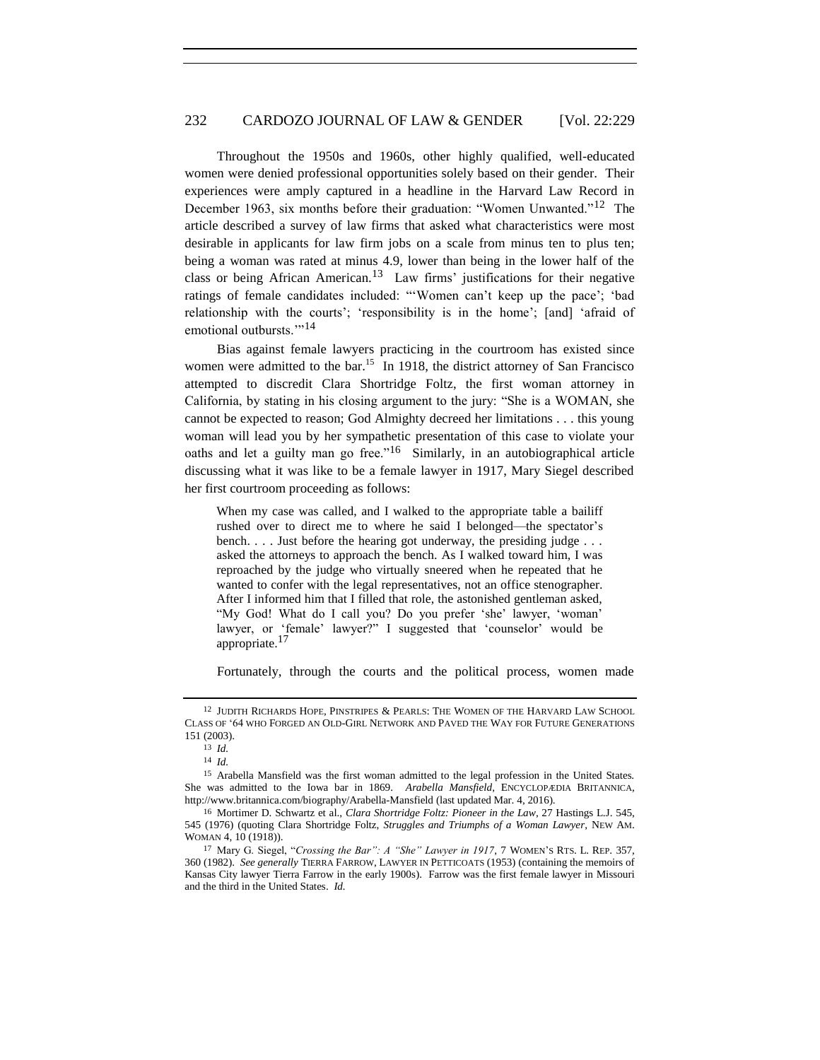Throughout the 1950s and 1960s, other highly qualified, well-educated women were denied professional opportunities solely based on their gender. Their experiences were amply captured in a headline in the Harvard Law Record in December 1963, six months before their graduation: "Women Unwanted."<sup>12</sup> The article described a survey of law firms that asked what characteristics were most desirable in applicants for law firm jobs on a scale from minus ten to plus ten; being a woman was rated at minus 4.9, lower than being in the lower half of the class or being African American.<sup>13</sup> Law firms' justifications for their negative ratings of female candidates included: "'Women can't keep up the pace'; 'bad relationship with the courts'; 'responsibility is in the home'; [and] 'afraid of emotional outbursts."<sup>14</sup>

Bias against female lawyers practicing in the courtroom has existed since women were admitted to the bar.<sup>15</sup> In 1918, the district attorney of San Francisco attempted to discredit Clara Shortridge Foltz, the first woman attorney in California, by stating in his closing argument to the jury: "She is a WOMAN, she cannot be expected to reason; God Almighty decreed her limitations . . . this young woman will lead you by her sympathetic presentation of this case to violate your oaths and let a guilty man go free."<sup>16</sup> Similarly, in an autobiographical article discussing what it was like to be a female lawyer in 1917, Mary Siegel described her first courtroom proceeding as follows:

When my case was called, and I walked to the appropriate table a bailiff rushed over to direct me to where he said I belonged—the spectator's bench. . . . Just before the hearing got underway, the presiding judge . . . asked the attorneys to approach the bench. As I walked toward him, I was reproached by the judge who virtually sneered when he repeated that he wanted to confer with the legal representatives, not an office stenographer. After I informed him that I filled that role, the astonished gentleman asked, "My God! What do I call you? Do you prefer 'she' lawyer, 'woman' lawyer, or 'female' lawyer?" I suggested that 'counselor' would be appropriate.<sup>17</sup>

Fortunately, through the courts and the political process, women made

<sup>12</sup> JUDITH RICHARDS HOPE, PINSTRIPES & PEARLS: THE WOMEN OF THE HARVARD LAW SCHOOL CLASS OF '64 WHO FORGED AN OLD-GIRL NETWORK AND PAVED THE WAY FOR FUTURE GENERATIONS 151 (2003).

<sup>13</sup> *Id.*

<sup>14</sup> *Id.*

<sup>&</sup>lt;sup>15</sup> Arabella Mansfield was the first woman admitted to the legal profession in the United States. She was admitted to the Iowa bar in 1869. *Arabella Mansfield*, ENCYCLOPÆDIA BRITANNICA, http://www.britannica.com/biography/Arabella-Mansfield (last updated Mar. 4, 2016).

<sup>16</sup> Mortimer D. Schwartz et al., *Clara Shortridge Foltz: Pioneer in the Law*, 27 Hastings L.J. 545, 545 (1976) (quoting Clara Shortridge Foltz, *Struggles and Triumphs of a Woman Lawyer*, NEW AM. WOMAN 4, 10 (1918)).

<sup>17</sup> Mary G. Siegel, "*Crossing the Bar": A "She" Lawyer in 1917*, 7 WOMEN'S RTS. L. REP. 357, 360 (1982). *See generally* TIERRA FARROW, LAWYER IN PETTICOATS (1953) (containing the memoirs of Kansas City lawyer Tierra Farrow in the early 1900s). Farrow was the first female lawyer in Missouri and the third in the United States. *Id.*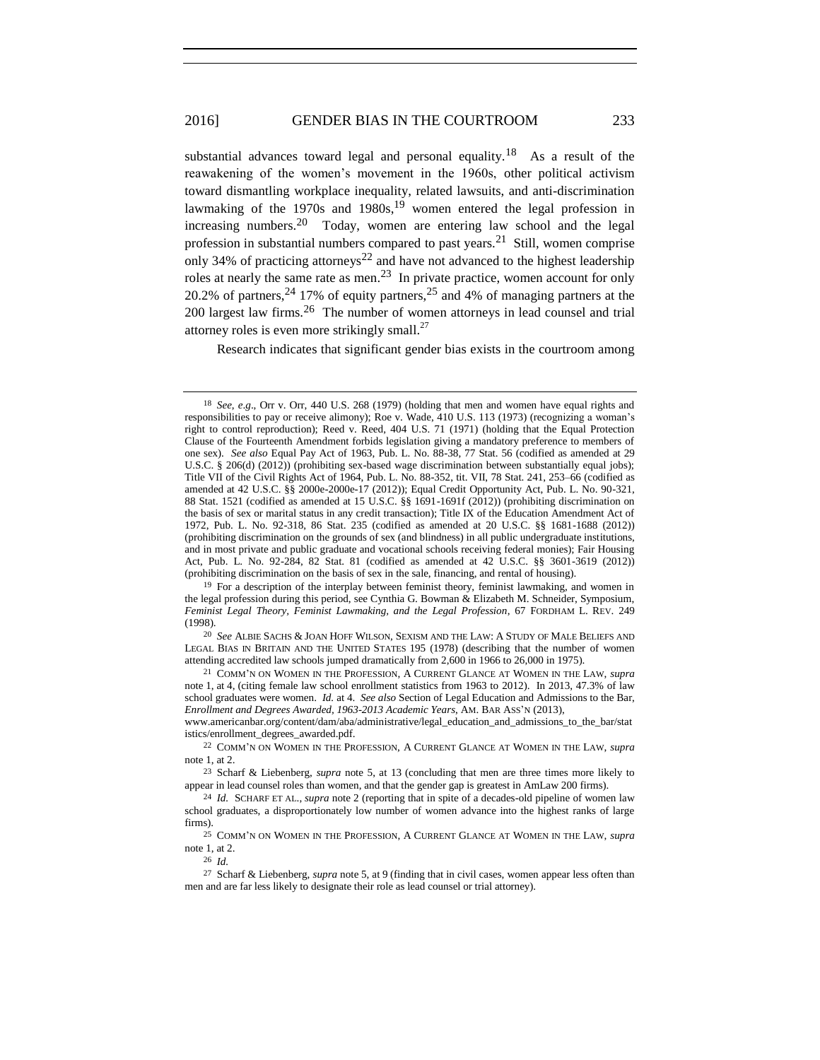substantial advances toward legal and personal equality.<sup>18</sup> As a result of the reawakening of the women's movement in the 1960s, other political activism toward dismantling workplace inequality, related lawsuits, and anti-discrimination lawmaking of the 1970s and 1980s,  $19$  women entered the legal profession in increasing numbers.<sup>20</sup> Today, women are entering law school and the legal profession in substantial numbers compared to past years.<sup>21</sup> Still, women comprise only 34% of practicing attorneys<sup>22</sup> and have not advanced to the highest leadership roles at nearly the same rate as men.<sup>23</sup> In private practice, women account for only 20.2% of partners,  $24$  17% of equity partners,  $25$  and 4% of managing partners at the 200 largest law firms.<sup>26</sup> The number of women attorneys in lead counsel and trial attorney roles is even more strikingly small. $^{27}$ 

Research indicates that significant gender bias exists in the courtroom among

26 *Id.*

<sup>18</sup> *See*, *e*.*g*., Orr v. Orr, 440 U.S. 268 (1979) (holding that men and women have equal rights and responsibilities to pay or receive alimony); Roe v. Wade, 410 U.S. 113 (1973) (recognizing a woman's right to control reproduction); Reed v. Reed, 404 U.S. 71 (1971) (holding that the Equal Protection Clause of the Fourteenth Amendment forbids legislation giving a mandatory preference to members of one sex). *See also* Equal Pay Act of 1963, Pub. L. No. 88-38, 77 Stat. 56 (codified as amended at 29 U.S.C. § 206(d) (2012)) (prohibiting sex-based wage discrimination between substantially equal jobs); Title VII of the Civil Rights Act of 1964, Pub. L. No. 88-352, tit. VII, 78 Stat. 241, 253–66 (codified as amended at 42 U.S.C. §§ 2000e-2000e-17 (2012)); Equal Credit Opportunity Act, Pub. L. No. 90-321, 88 Stat. 1521 (codified as amended at 15 U.S.C. §§ 1691-1691f (2012)) (prohibiting discrimination on the basis of sex or marital status in any credit transaction); Title IX of the Education Amendment Act of 1972, Pub. L. No. 92-318, 86 Stat. 235 (codified as amended at 20 U.S.C. §§ 1681-1688 (2012)) (prohibiting discrimination on the grounds of sex (and blindness) in all public undergraduate institutions, and in most private and public graduate and vocational schools receiving federal monies); Fair Housing Act, Pub. L. No. 92-284, 82 Stat. 81 (codified as amended at 42 U.S.C. §§ 3601-3619 (2012)) (prohibiting discrimination on the basis of sex in the sale, financing, and rental of housing).

 $19$  For a description of the interplay between feminist theory, feminist lawmaking, and women in the legal profession during this period, see Cynthia G. Bowman & Elizabeth M. Schneider, Symposium, *Feminist Legal Theory, Feminist Lawmaking, and the Legal Profession*, 67 FORDHAM L. REV. 249 (1998).

<sup>20</sup> *See* ALBIE SACHS & JOAN HOFF WILSON, SEXISM AND THE LAW: A STUDY OF MALE BELIEFS AND LEGAL BIAS IN BRITAIN AND THE UNITED STATES 195 (1978) (describing that the number of women attending accredited law schools jumped dramatically from 2,600 in 1966 to 26,000 in 1975).

<sup>21</sup> COMM'N ON WOMEN IN THE PROFESSION, A CURRENT GLANCE AT WOMEN IN THE LAW, *supra*  note 1, at 4, (citing female law school enrollment statistics from 1963 to 2012). In 2013, 47.3% of law school graduates were women. *Id.* at 4. *See also* Section of Legal Education and Admissions to the Bar, *Enrollment and Degrees Awarded, 1963-2013 Academic Years*, AM. BAR ASS'N (2013),

www.americanbar.org/content/dam/aba/administrative/legal\_education\_and\_admissions\_to\_the\_bar/stat istics/enrollment\_degrees\_awarded.pdf.

<sup>22</sup> COMM'N ON WOMEN IN THE PROFESSION, A CURRENT GLANCE AT WOMEN IN THE LAW, *supra*  note 1, at 2.

<sup>23</sup> Scharf & Liebenberg, *supra* note 5, at 13 (concluding that men are three times more likely to appear in lead counsel roles than women, and that the gender gap is greatest in AmLaw 200 firms).

<sup>24</sup> *Id.* SCHARF ET AL., *supra* note 2 (reporting that in spite of a decades-old pipeline of women law school graduates, a disproportionately low number of women advance into the highest ranks of large firms).

<sup>25</sup> COMM'N ON WOMEN IN THE PROFESSION, A CURRENT GLANCE AT WOMEN IN THE LAW, *supra*  note 1, at 2.

<sup>27</sup> Scharf & Liebenberg, *supra* note 5, at 9 (finding that in civil cases, women appear less often than men and are far less likely to designate their role as lead counsel or trial attorney).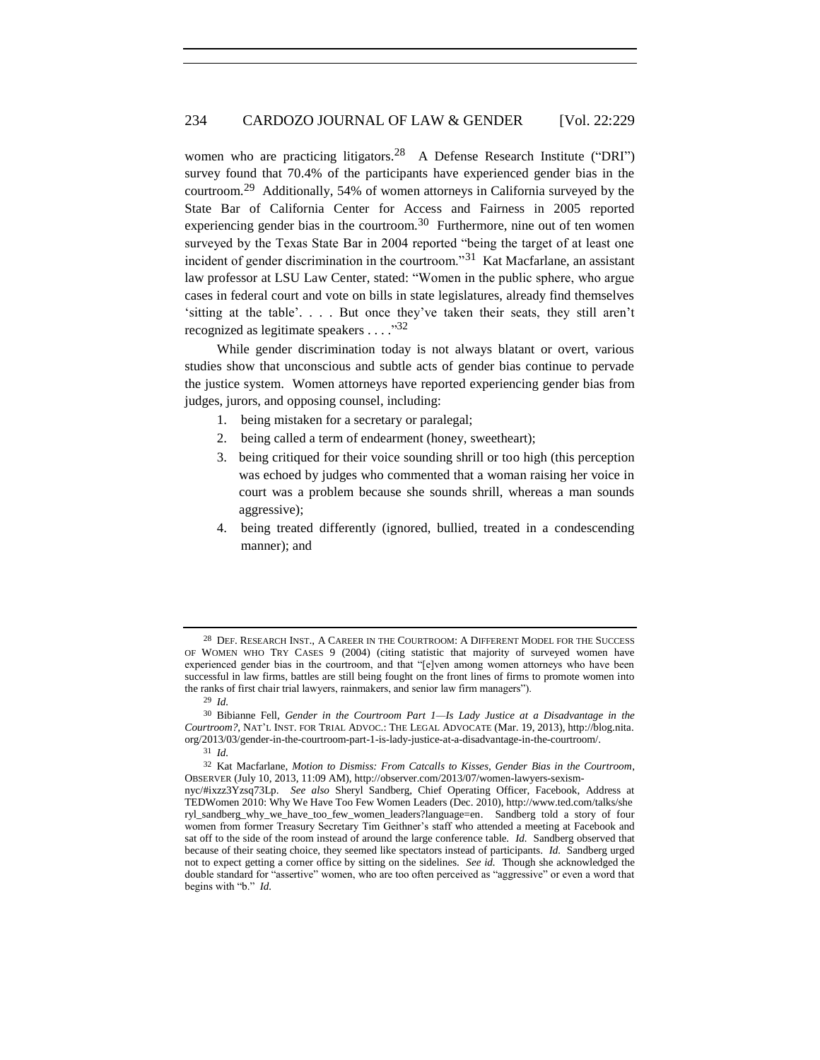women who are practicing litigators.<sup>28</sup> A Defense Research Institute ("DRI") survey found that 70.4% of the participants have experienced gender bias in the courtroom.<sup>29</sup> Additionally, 54% of women attorneys in California surveyed by the State Bar of California Center for Access and Fairness in 2005 reported experiencing gender bias in the courtroom.<sup>30</sup> Furthermore, nine out of ten women surveyed by the Texas State Bar in 2004 reported "being the target of at least one incident of gender discrimination in the courtroom."<sup>31</sup> Kat Macfarlane, an assistant law professor at LSU Law Center, stated: "Women in the public sphere, who argue cases in federal court and vote on bills in state legislatures, already find themselves 'sitting at the table'. . . . But once they've taken their seats, they still aren't recognized as legitimate speakers  $\dots$ ."32

While gender discrimination today is not always blatant or overt, various studies show that unconscious and subtle acts of gender bias continue to pervade the justice system. Women attorneys have reported experiencing gender bias from judges, jurors, and opposing counsel, including:

- 1. being mistaken for a secretary or paralegal;
- 2. being called a term of endearment (honey, sweetheart);
- 3. being critiqued for their voice sounding shrill or too high (this perception was echoed by judges who commented that a woman raising her voice in court was a problem because she sounds shrill, whereas a man sounds aggressive);
- 4. being treated differently (ignored, bullied, treated in a condescending manner); and

<sup>28</sup> DEF. RESEARCH INST., A CAREER IN THE COURTROOM: A DIFFERENT MODEL FOR THE SUCCESS OF WOMEN WHO TRY CASES 9 (2004) (citing statistic that majority of surveyed women have experienced gender bias in the courtroom, and that "[e]ven among women attorneys who have been successful in law firms, battles are still being fought on the front lines of firms to promote women into the ranks of first chair trial lawyers, rainmakers, and senior law firm managers").

<sup>29</sup> *Id.*

<sup>30</sup> Bibianne Fell, *Gender in the Courtroom Part 1—Is Lady Justice at a Disadvantage in the Courtroom?*, NAT'L INST. FOR TRIAL ADVOC.: THE LEGAL ADVOCATE (Mar. 19, 2013), http://blog.nita. org/2013/03/gender-in-the-courtroom-part-1-is-lady-justice-at-a-disadvantage-in-the-courtroom/.

<sup>31</sup> *Id.*

<sup>32</sup> Kat Macfarlane, *Motion to Dismiss: From Catcalls to Kisses, Gender Bias in the Courtroom*, OBSERVER (July 10, 2013, 11:09 AM), http://observer.com/2013/07/women-lawyers-sexism-

nyc/#ixzz3Yzsq73Lp. *See also* Sheryl Sandberg, Chief Operating Officer, Facebook, Address at TEDWomen 2010: Why We Have Too Few Women Leaders (Dec. 2010), [http://www.ted.com/talks/she](http://www.ted.com/talks/sheryl_sandberg_why_we_have_too_few_women_leaders?language=en) [ryl\\_sandberg\\_why\\_we\\_have\\_too\\_few\\_women\\_leaders?language=en.](http://www.ted.com/talks/sheryl_sandberg_why_we_have_too_few_women_leaders?language=en) Sandberg told a story of four women from former Treasury Secretary Tim Geithner's staff who attended a meeting at Facebook and sat off to the side of the room instead of around the large conference table. *Id.* Sandberg observed that because of their seating choice, they seemed like spectators instead of participants. *Id.* Sandberg urged not to expect getting a corner office by sitting on the sidelines. *See id.* Though she acknowledged the double standard for "assertive" women, who are too often perceived as "aggressive" or even a word that begins with "b." *Id.*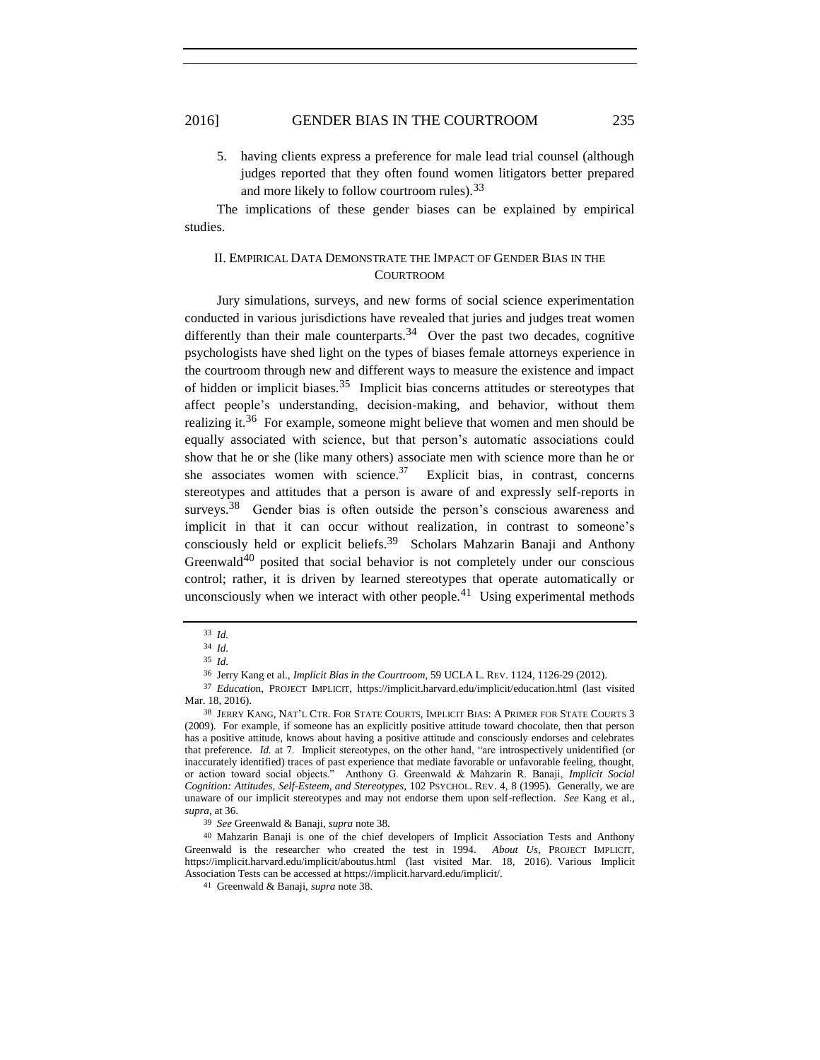5. having clients express a preference for male lead trial counsel (although judges reported that they often found women litigators better prepared and more likely to follow courtroom rules).<sup>33</sup>

<span id="page-6-0"></span>The implications of these gender biases can be explained by empirical studies.

## II. EMPIRICAL DATA DEMONSTRATE THE IMPACT OF GENDER BIAS IN THE **COURTROOM**

Jury simulations, surveys, and new forms of social science experimentation conducted in various jurisdictions have revealed that juries and judges treat women differently than their male counterparts.<sup>34</sup> Over the past two decades, cognitive psychologists have shed light on the types of biases female attorneys experience in the courtroom through new and different ways to measure the existence and impact of hidden or implicit biases.<sup>35</sup> Implicit bias concerns attitudes or stereotypes that affect people's understanding, decision-making, and behavior, without them realizing it.<sup>36</sup> For example, someone might believe that women and men should be equally associated with science, but that person's automatic associations could show that he or she (like many others) associate men with science more than he or she associates women with science. $37$  Explicit bias, in contrast, concerns stereotypes and attitudes that a person is aware of and expressly self-reports in surveys.<sup>38</sup> Gender bias is often outside the person's conscious awareness and implicit in that it can occur without realization, in contrast to someone's consciously held or explicit beliefs. 39 Scholars Mahzarin Banaji and Anthony Greenwald<sup>40</sup> posited that social behavior is not completely under our conscious control; rather, it is driven by learned stereotypes that operate automatically or unconsciously when we interact with other people.<sup>41</sup> Using experimental methods

<sup>33</sup> *Id.*

<sup>34</sup> *Id.*

<sup>35</sup> *Id.*

<sup>36</sup> Jerry Kang et al., *Implicit Bias in the Courtroom*, 59 UCLA L. REV. 1124, 1126-29 (2012).

<sup>37</sup> *Educatio*n, PROJECT IMPLICIT, https://implicit.harvard.edu/implicit/education.html (last visited Mar. 18, 2016).

<sup>38</sup> JERRY KANG, NAT'L CTR. FOR STATE COURTS, IMPLICIT BIAS: A PRIMER FOR STATE COURTS 3 (2009). For example, if someone has an explicitly positive attitude toward chocolate, then that person has a positive attitude, knows about having a positive attitude and consciously endorses and celebrates that preference. *Id.* at 7. Implicit stereotypes, on the other hand, "are introspectively unidentified (or inaccurately identified) traces of past experience that mediate favorable or unfavorable feeling, thought, or action toward social objects." Anthony G. Greenwald & Mahzarin R. Banaji, *Implicit Social Cognition: Attitudes, Self-Esteem, and Stereotypes*, 102 PSYCHOL. REV. 4, 8 (1995). Generally, we are unaware of our implicit stereotypes and may not endorse them upon self-reflection. *See* Kang et al., *supra*, at 36.

<sup>39</sup> *See* Greenwald & Banaji, *supra* note 38.

<sup>40</sup> Mahzarin Banaji is one of the chief developers of Implicit Association Tests and Anthony Greenwald is the researcher who created the test in 1994. *About Us*, PROJECT IMPLICIT, https://implicit.harvard.edu/implicit/aboutus.html (last visited Mar. 18, 2016). Various Implicit Association Tests can be accessed at https://implicit.harvard.edu/implicit/.

<sup>41</sup> Greenwald & Banaji, *supra* note 38.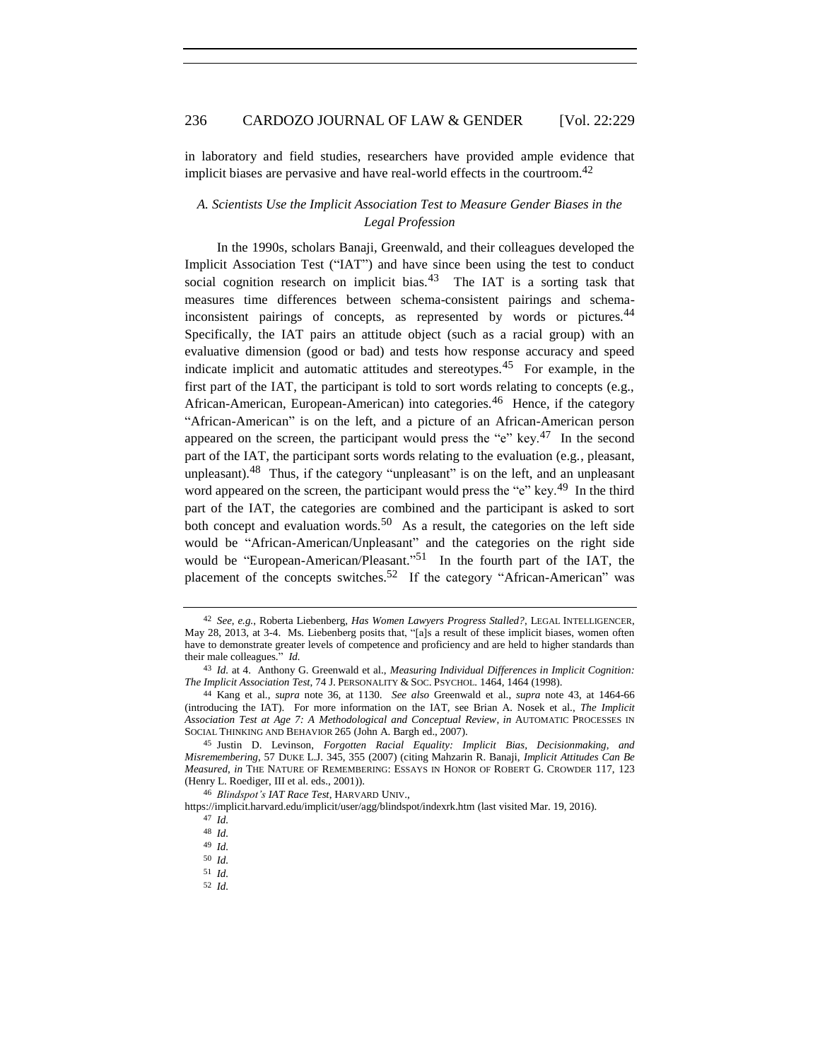in laboratory and field studies, researchers have provided ample evidence that implicit biases are pervasive and have real-world effects in the courtroom. 42

## <span id="page-7-0"></span>*A. Scientists Use the Implicit Association Test to Measure Gender Biases in the Legal Profession*

In the 1990s, scholars Banaji, Greenwald, and their colleagues developed the Implicit Association Test ("IAT") and have since been using the test to conduct social cognition research on implicit bias.<sup>43</sup> The IAT is a sorting task that measures time differences between schema-consistent pairings and schemainconsistent pairings of concepts, as represented by words or pictures.<sup>44</sup> Specifically, the IAT pairs an attitude object (such as a racial group) with an evaluative dimension (good or bad) and tests how response accuracy and speed indicate implicit and automatic attitudes and stereotypes.<sup>45</sup> For example, in the first part of the IAT, the participant is told to sort words relating to concepts (e.g., African-American, European-American) into categories.<sup>46</sup> Hence, if the category "African-American" is on the left, and a picture of an African-American person appeared on the screen, the participant would press the "e" key.<sup>47</sup> In the second part of the IAT, the participant sorts words relating to the evaluation (e.g., pleasant, unpleasant). $48$  Thus, if the category "unpleasant" is on the left, and an unpleasant word appeared on the screen, the participant would press the "e" key.<sup>49</sup> In the third part of the IAT, the categories are combined and the participant is asked to sort both concept and evaluation words.<sup>50</sup> As a result, the categories on the left side would be "African-American/Unpleasant" and the categories on the right side would be "European-American/Pleasant."<sup>51</sup> In the fourth part of the IAT, the placement of the concepts switches.<sup>52</sup> If the category "African-American" was

46 *Blindspot's IAT Race Test*, HARVARD UNIV.,

<sup>42</sup> *See*, *e.g.*, Roberta Liebenberg, *Has Women Lawyers Progress Stalled?*, LEGAL INTELLIGENCER, May 28, 2013, at 3-4. Ms. Liebenberg posits that, "[a]s a result of these implicit biases, women often have to demonstrate greater levels of competence and proficiency and are held to higher standards than their male colleagues." *Id.*

<sup>43</sup> *Id.* at 4. Anthony G. Greenwald et al., *Measuring Individual Differences in Implicit Cognition: The Implicit Association Test*, 74 J. PERSONALITY & SOC. PSYCHOL. 1464, 1464 (1998).

<sup>44</sup> Kang et al., *supra* note 36, at 1130. *See also* Greenwald et al., *supra* note 43, at 1464-66 (introducing the IAT). For more information on the IAT, see Brian A. Nosek et al., *The Implicit Association Test at Age 7: A Methodological and Conceptual Review*, *in* AUTOMATIC PROCESSES IN SOCIAL THINKING AND BEHAVIOR 265 (John A. Bargh ed., 2007).

<sup>45</sup> Justin D. Levinson, *Forgotten Racial Equality: Implicit Bias, Decisionmaking, and Misremembering*, 57 DUKE L.J. 345, 355 (2007) (citing Mahzarin R. Banaji, *Implicit Attitudes Can Be Measured*, *in* THE NATURE OF REMEMBERING: ESSAYS IN HONOR OF ROBERT G. CROWDER 117, 123 (Henry L. Roediger, III et al. eds., 2001)).

https://implicit.harvard.edu/implicit/user/agg/blindspot/indexrk.htm (last visited Mar. 19, 2016).

<sup>47</sup> *Id.* 48 *Id.*

<sup>49</sup> *Id.*

<sup>50</sup> *Id.*

<sup>51</sup> *Id.*

<sup>52</sup> *Id.*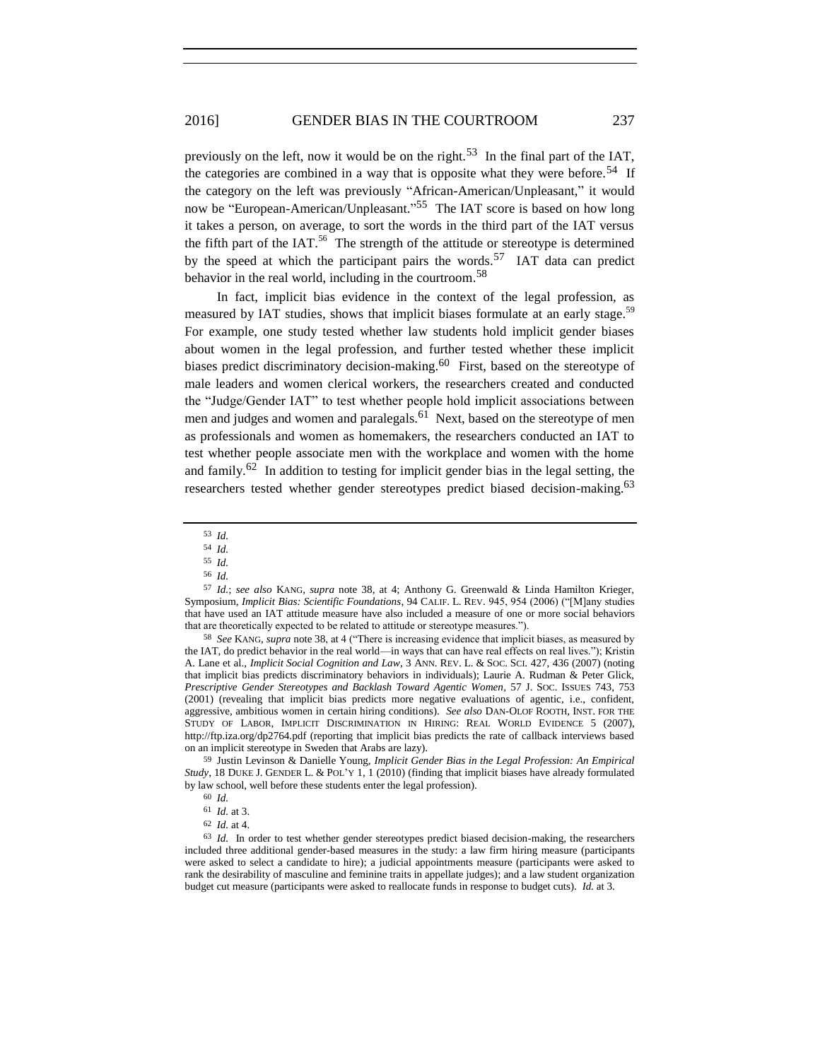previously on the left, now it would be on the right.<sup>53</sup> In the final part of the IAT, the categories are combined in a way that is opposite what they were before.<sup>54</sup> If the category on the left was previously "African-American/Unpleasant," it would now be "European-American/Unpleasant."<sup>55</sup> The IAT score is based on how long it takes a person, on average, to sort the words in the third part of the IAT versus the fifth part of the IAT.<sup>56</sup> The strength of the attitude or stereotype is determined by the speed at which the participant pairs the words.<sup>57</sup> IAT data can predict behavior in the real world, including in the courtroom.<sup>58</sup>

In fact, implicit bias evidence in the context of the legal profession, as measured by IAT studies, shows that implicit biases formulate at an early stage.<sup>59</sup> For example, one study tested whether law students hold implicit gender biases about women in the legal profession, and further tested whether these implicit biases predict discriminatory decision-making.<sup>60</sup> First, based on the stereotype of male leaders and women clerical workers, the researchers created and conducted the "Judge/Gender IAT" to test whether people hold implicit associations between men and judges and women and paralegals.<sup>61</sup> Next, based on the stereotype of men as professionals and women as homemakers, the researchers conducted an IAT to test whether people associate men with the workplace and women with the home and family.<sup>62</sup> In addition to testing for implicit gender bias in the legal setting, the researchers tested whether gender stereotypes predict biased decision-making.<sup>63</sup>

58 *See* KANG, *supra* note 38, at 4 ("There is increasing evidence that implicit biases, as measured by the IAT, do predict behavior in the real world—in ways that can have real effects on real lives."); Kristin A. Lane et al., *Implicit Social Cognition and Law*, 3 ANN. REV. L. & SOC. SCI. 427, 436 (2007) (noting that implicit bias predicts discriminatory behaviors in individuals); Laurie A. Rudman & Peter Glick, *Prescriptive Gender Stereotypes and Backlash Toward Agentic Women*, 57 J. SOC. ISSUES 743, 753 (2001) (revealing that implicit bias predicts more negative evaluations of agentic, i.e., confident, aggressive, ambitious women in certain hiring conditions). *See also* DAN-OLOF ROOTH, INST. FOR THE STUDY OF LABOR, IMPLICIT DISCRIMINATION IN HIRING: REAL WORLD EVIDENCE 5 (2007), http://ftp.iza.org/dp2764.pdf (reporting that implicit bias predicts the rate of callback interviews based on an implicit stereotype in Sweden that Arabs are lazy).

59 Justin Levinson & Danielle Young, *Implicit Gender Bias in the Legal Profession: An Empirical Study*, 18 DUKE J. GENDER L. & POL'Y 1, 1 (2010) (finding that implicit biases have already formulated by law school, well before these students enter the legal profession).

63 *Id.* In order to test whether gender stereotypes predict biased decision-making, the researchers included three additional gender-based measures in the study: a law firm hiring measure (participants were asked to select a candidate to hire); a judicial appointments measure (participants were asked to rank the desirability of masculine and feminine traits in appellate judges); and a law student organization budget cut measure (participants were asked to reallocate funds in response to budget cuts). *Id.* at 3.

<sup>53</sup> *Id.*

<sup>54</sup> *Id.*

<sup>55</sup> *Id.*

<sup>56</sup> *Id.*

<sup>57</sup> *Id.*; *see also* KANG, *supra* note 38, at 4; Anthony G. Greenwald & Linda Hamilton Krieger, Symposium, *Implicit Bias: Scientific Foundations*, 94 CALIF. L. REV. 945, 954 (2006) ("[M]any studies that have used an IAT attitude measure have also included a measure of one or more social behaviors that are theoretically expected to be related to attitude or stereotype measures.").

<sup>60</sup> *Id.*

<sup>61</sup> *Id.* at 3.

<sup>62</sup> *Id.* at 4.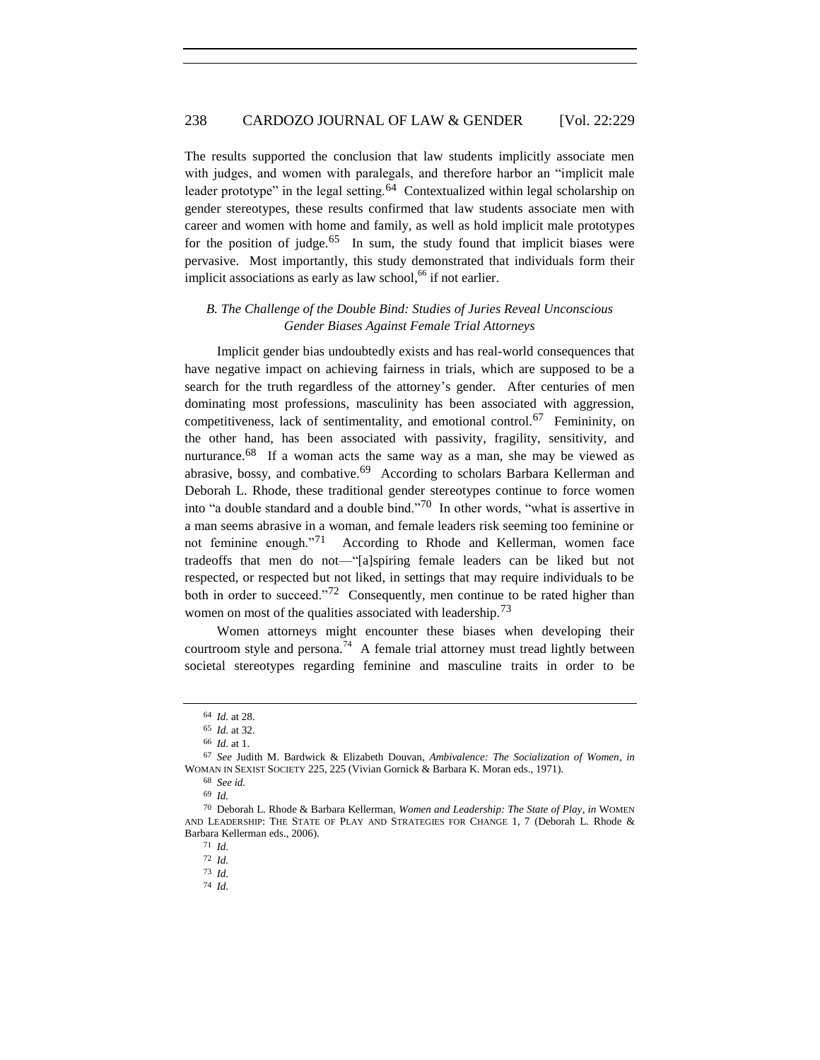The results supported the conclusion that law students implicitly associate men with judges, and women with paralegals, and therefore harbor an "implicit male leader prototype" in the legal setting.<sup>64</sup> Contextualized within legal scholarship on gender stereotypes, these results confirmed that law students associate men with career and women with home and family, as well as hold implicit male prototypes for the position of judge.<sup>65</sup> In sum, the study found that implicit biases were pervasive. Most importantly, this study demonstrated that individuals form their implicit associations as early as law school,<sup>66</sup> if not earlier.

## <span id="page-9-0"></span>*B. The Challenge of the Double Bind: Studies of Juries Reveal Unconscious Gender Biases Against Female Trial Attorneys*

Implicit gender bias undoubtedly exists and has real-world consequences that have negative impact on achieving fairness in trials, which are supposed to be a search for the truth regardless of the attorney's gender. After centuries of men dominating most professions, masculinity has been associated with aggression, competitiveness, lack of sentimentality, and emotional control.<sup>67</sup> Femininity, on the other hand, has been associated with passivity, fragility, sensitivity, and nurturance.<sup>68</sup> If a woman acts the same way as a man, she may be viewed as abrasive, bossy, and combative.<sup>69</sup> According to scholars Barbara Kellerman and Deborah L. Rhode, these traditional gender stereotypes continue to force women into "a double standard and a double bind."<sup>70</sup> In other words, "what is assertive in a man seems abrasive in a woman, and female leaders risk seeming too feminine or not feminine enough."<sup>71</sup> According to Rhode and Kellerman, women face tradeoffs that men do not—"[a]spiring female leaders can be liked but not respected, or respected but not liked, in settings that may require individuals to be both in order to succeed."<sup>72</sup> Consequently, men continue to be rated higher than women on most of the qualities associated with leadership.<sup>73</sup>

Women attorneys might encounter these biases when developing their courtroom style and persona.<sup>74</sup> A female trial attorney must tread lightly between societal stereotypes regarding feminine and masculine traits in order to be

<sup>64</sup> *Id.* at 28.

<sup>65</sup> *Id.* at 32.

<sup>66</sup> *Id.* at 1.

<sup>67</sup> *See* Judith M. Bardwick & Elizabeth Douvan, *Ambivalence: The Socialization of Women*, *in*  WOMAN IN SEXIST SOCIETY 225, 225 (Vivian Gornick & Barbara K. Moran eds., 1971).

<sup>68</sup> *See id.*

<sup>69</sup> *Id.*

<sup>70</sup> Deborah L. Rhode & Barbara Kellerman, *Women and Leadership: The State of Play*, *in* WOMEN AND LEADERSHIP: THE STATE OF PLAY AND STRATEGIES FOR CHANGE 1, 7 (Deborah L. Rhode & Barbara Kellerman eds., 2006).

<sup>71</sup> *Id.*

<sup>72</sup> *Id.*

<sup>73</sup> *Id.*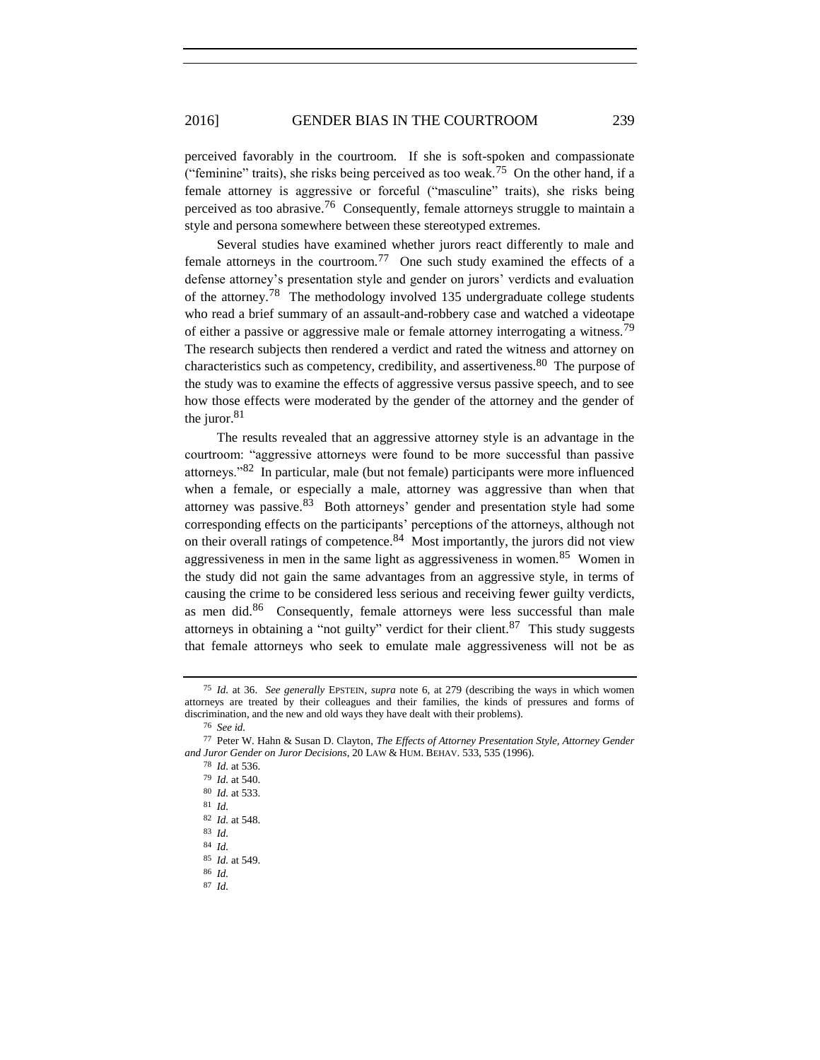## 2016] GENDER BIAS IN THE COURTROOM 239

perceived favorably in the courtroom. If she is soft-spoken and compassionate ("feminine" traits), she risks being perceived as too weak.<sup>75</sup> On the other hand, if a female attorney is aggressive or forceful ("masculine" traits), she risks being perceived as too abrasive.<sup>76</sup> Consequently, female attorneys struggle to maintain a style and persona somewhere between these stereotyped extremes.

Several studies have examined whether jurors react differently to male and female attorneys in the courtroom.<sup>77</sup> One such study examined the effects of a defense attorney's presentation style and gender on jurors' verdicts and evaluation of the attorney.<sup>78</sup> The methodology involved 135 undergraduate college students who read a brief summary of an assault-and-robbery case and watched a videotape of either a passive or aggressive male or female attorney interrogating a witness.<sup>79</sup> The research subjects then rendered a verdict and rated the witness and attorney on characteristics such as competency, credibility, and assertiveness.  $80$  The purpose of the study was to examine the effects of aggressive versus passive speech, and to see how those effects were moderated by the gender of the attorney and the gender of the juror. $81$ 

The results revealed that an aggressive attorney style is an advantage in the courtroom: "aggressive attorneys were found to be more successful than passive attorneys."<sup>82</sup> In particular, male (but not female) participants were more influenced when a female, or especially a male, attorney was aggressive than when that attorney was passive.  $83$  Both attorneys' gender and presentation style had some corresponding effects on the participants' perceptions of the attorneys, although not on their overall ratings of competence.<sup>84</sup> Most importantly, the jurors did not view aggressiveness in men in the same light as aggressiveness in women.<sup>85</sup> Women in the study did not gain the same advantages from an aggressive style, in terms of causing the crime to be considered less serious and receiving fewer guilty verdicts, as men did.<sup>86</sup> Consequently, female attorneys were less successful than male attorneys in obtaining a "not guilty" verdict for their client.<sup>87</sup> This study suggests that female attorneys who seek to emulate male aggressiveness will not be as

<sup>75</sup> *Id.* at 36. *See generally* EPSTEIN, *supra* note 6, at 279 (describing the ways in which women attorneys are treated by their colleagues and their families, the kinds of pressures and forms of discrimination, and the new and old ways they have dealt with their problems).

<sup>76</sup> *See id.*

<sup>77</sup> Peter W. Hahn & Susan D. Clayton, *The Effects of Attorney Presentation Style, Attorney Gender and Juror Gender on Juror Decisions*, 20 LAW & HUM. BEHAV. 533, 535 (1996).

<sup>78</sup> *Id.* at 536.

<sup>79</sup> *Id.* at 540.

<sup>80</sup> *Id.* at 533.

<sup>81</sup> *Id.*

<sup>82</sup> *Id.* at 548.

<sup>83</sup> *Id.*

<sup>84</sup> *Id.*

<sup>85</sup> *Id.* at 549.

<sup>86</sup> *Id.*

<sup>87</sup> *Id.*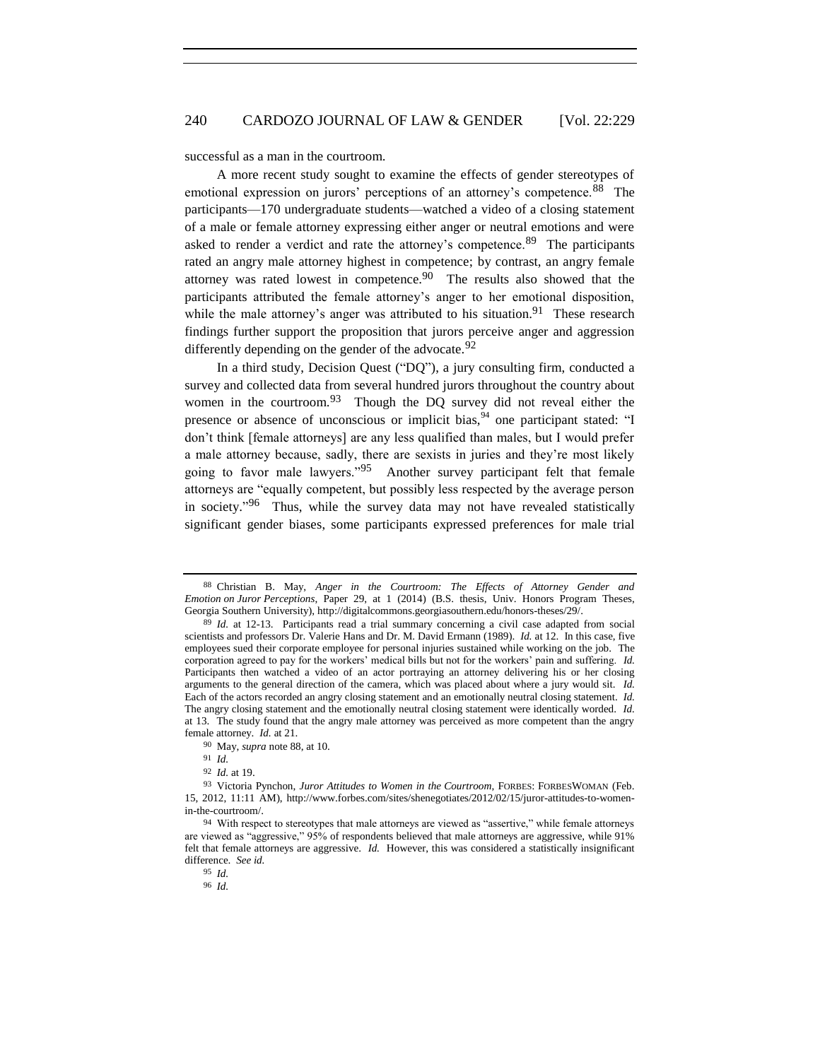successful as a man in the courtroom.

A more recent study sought to examine the effects of gender stereotypes of emotional expression on jurors' perceptions of an attorney's competence.<sup>88</sup> The participants—170 undergraduate students—watched a video of a closing statement of a male or female attorney expressing either anger or neutral emotions and were asked to render a verdict and rate the attorney's competence.<sup>89</sup> The participants rated an angry male attorney highest in competence; by contrast, an angry female attorney was rated lowest in competence.<sup>90</sup> The results also showed that the participants attributed the female attorney's anger to her emotional disposition, while the male attorney's anger was attributed to his situation.<sup>91</sup> These research findings further support the proposition that jurors perceive anger and aggression differently depending on the gender of the advocate.  $92$ 

In a third study, Decision Quest ("DQ"), a jury consulting firm, conducted a survey and collected data from several hundred jurors throughout the country about women in the courtroom.<sup>93</sup> Though the DQ survey did not reveal either the presence or absence of unconscious or implicit bias,  $94$  one participant stated: "I don't think [female attorneys] are any less qualified than males, but I would prefer a male attorney because, sadly, there are sexists in juries and they're most likely going to favor male lawyers."<sup>95</sup> Another survey participant felt that female attorneys are "equally competent, but possibly less respected by the average person in society."<sup>96</sup> Thus, while the survey data may not have revealed statistically significant gender biases, some participants expressed preferences for male trial

<sup>88</sup> Christian B. May, *Anger in the Courtroom: The Effects of Attorney Gender and Emotion on Juror Perceptions*, Paper 29, at 1 (2014) (B.S. thesis, Univ. Honors Program Theses, Georgia Southern University), http://digitalcommons.georgiasouthern.edu/honors-theses/29/.

<sup>89</sup> *Id.* at 12-13. Participants read a trial summary concerning a civil case adapted from social scientists and professors Dr. Valerie Hans and Dr. M. David Ermann (1989). *Id.* at 12. In this case, five employees sued their corporate employee for personal injuries sustained while working on the job. The corporation agreed to pay for the workers' medical bills but not for the workers' pain and suffering. *Id.*  Participants then watched a video of an actor portraying an attorney delivering his or her closing arguments to the general direction of the camera, which was placed about where a jury would sit. *Id.*  Each of the actors recorded an angry closing statement and an emotionally neutral closing statement. *Id.*  The angry closing statement and the emotionally neutral closing statement were identically worded. *Id.*  at 13. The study found that the angry male attorney was perceived as more competent than the angry female attorney. *Id.* at 21.

<sup>90</sup> May, *supra* note 88, at 10.

<sup>91</sup> *Id.*

<sup>92</sup> *Id.* at 19.

<sup>93</sup> Victoria Pynchon, *Juror Attitudes to Women in the Courtroom*, FORBES: FORBESWOMAN (Feb. 15, 2012, 11:11 AM), http://www.forbes.com/sites/shenegotiates/2012/02/15/juror-attitudes-to-womenin-the-courtroom/.

<sup>94</sup> With respect to stereotypes that male attorneys are viewed as "assertive," while female attorneys are viewed as "aggressive," 95% of respondents believed that male attorneys are aggressive, while 91% felt that female attorneys are aggressive. *Id.* However, this was considered a statistically insignificant difference. *See id.*

<sup>95</sup> *Id.*

<sup>96</sup> *Id.*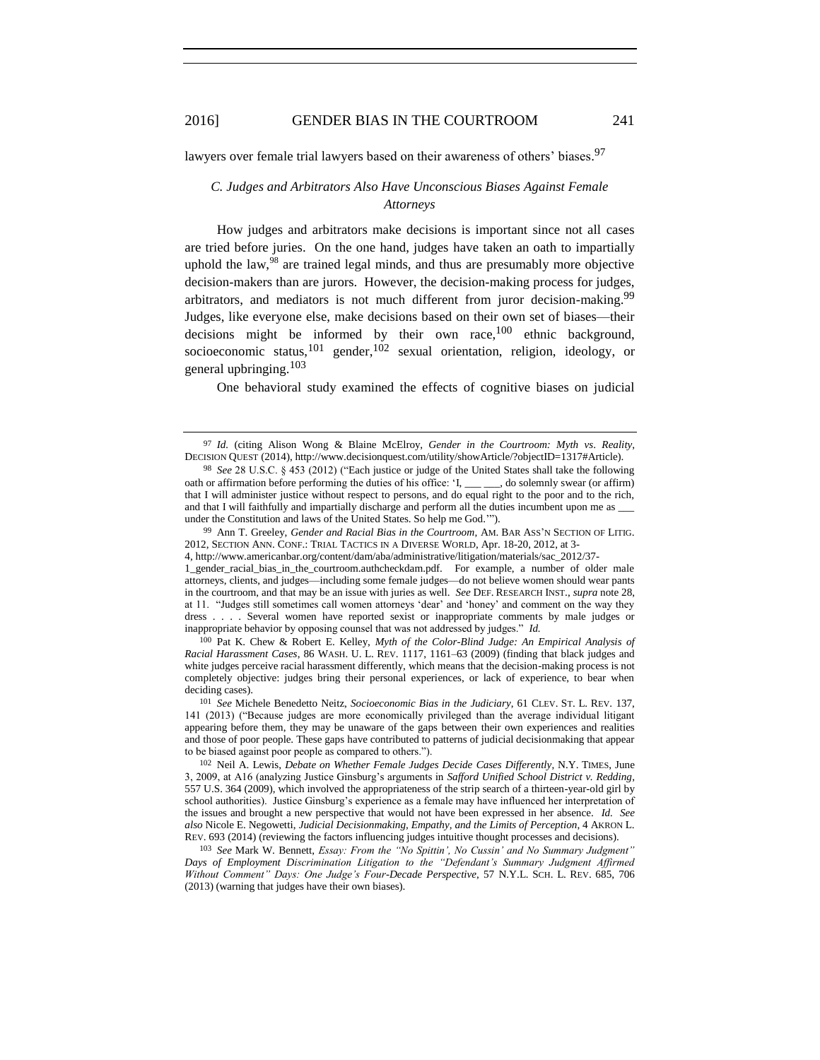<span id="page-12-0"></span>lawyers over female trial lawyers based on their awareness of others' biases.<sup>97</sup>

## *C. Judges and Arbitrators Also Have Unconscious Biases Against Female Attorneys*

How judges and arbitrators make decisions is important since not all cases are tried before juries. On the one hand, judges have taken an oath to impartially uphold the law, $98$  are trained legal minds, and thus are presumably more objective decision-makers than are jurors. However, the decision-making process for judges, arbitrators, and mediators is not much different from juror decision-making.<sup>99</sup> Judges, like everyone else, make decisions based on their own set of biases—their decisions might be informed by their own race,<sup>100</sup> ethnic background, socioeconomic status,  $101 \text{ gender}$ ,  $102 \text{ sexual orientation}$ , religion, ideology, or general upbringing. 103

One behavioral study examined the effects of cognitive biases on judicial

99 Ann T. Greeley, *Gender and Racial Bias in the Courtroom*, AM. BAR ASS'N SECTION OF LITIG. 2012, SECTION ANN. CONF.: TRIAL TACTICS IN A DIVERSE WORLD, Apr. 18-20, 2012, at 3-

100 Pat K. Chew & Robert E. Kelley, *Myth of the Color-Blind Judge: An Empirical Analysis of Racial Harassment Cases*, 86 WASH. U. L. REV. 1117, 1161–63 (2009) (finding that black judges and white judges perceive racial harassment differently, which means that the decision-making process is not completely objective: judges bring their personal experiences, or lack of experience, to bear when deciding cases).

<sup>97</sup> *Id.* (citing Alison Wong & Blaine McElroy, *Gender in the Courtroom: Myth vs*. *Reality*, DECISION QUEST (2014), http://www.decisionquest.com/utility/showArticle/?objectID=1317#Article).

<sup>98</sup> *See* 28 U.S.C. § 453 (2012) ("Each justice or judge of the United States shall take the following oath or affirmation before performing the duties of his office: 'I, \_\_\_ \_\_\_, do solemnly swear (or affirm) that I will administer justice without respect to persons, and do equal right to the poor and to the rich, and that I will faithfully and impartially discharge and perform all the duties incumbent upon me as \_ under the Constitution and laws of the United States. So help me God.'").

<sup>4,</sup> http://www.americanbar.org/content/dam/aba/administrative/litigation/materials/sac\_2012/37-

<sup>1</sup>\_gender\_racial\_bias\_in\_the\_courtroom.authcheckdam.pdf. For example, a number of older male attorneys, clients, and judges—including some female judges—do not believe women should wear pants in the courtroom, and that may be an issue with juries as well. *See* DEF. RESEARCH INST., *supra* note 28, at 11. "Judges still sometimes call women attorneys 'dear' and 'honey' and comment on the way they dress . . . . Several women have reported sexist or inappropriate comments by male judges or inappropriate behavior by opposing counsel that was not addressed by judges." *Id.*

<sup>101</sup> *See* Michele Benedetto Neitz, *Socioeconomic Bias in the Judiciary*, 61 CLEV. ST. L. REV. 137, 141 (2013) ("Because judges are more economically privileged than the average individual litigant appearing before them, they may be unaware of the gaps between their own experiences and realities and those of poor people. These gaps have contributed to patterns of judicial decisionmaking that appear to be biased against poor people as compared to others.").

<sup>102</sup> Neil A. Lewis, *Debate on Whether Female Judges Decide Cases Differently*, N.Y. TIMES, June 3, 2009, at A16 (analyzing Justice Ginsburg's arguments in *Safford Unified School District v. Redding*, 557 U.S. 364 (2009), which involved the appropriateness of the strip search of a thirteen-year-old girl by school authorities). Justice Ginsburg's experience as a female may have influenced her interpretation of the issues and brought a new perspective that would not have been expressed in her absence. *Id. See also* Nicole E. Negowetti, *Judicial Decisionmaking, Empathy, and the Limits of Perception*, 4 AKRON L. REV. 693 (2014) (reviewing the factors influencing judges intuitive thought processes and decisions).

<sup>103</sup> *See* Mark W. Bennett, *Essay: From the "No Spittin', No Cussin' and No Summary Judgment" Days of Employment Discrimination Litigation to the "Defendant's Summary Judgment Affirmed Without Comment" Days: One Judge's Four-Decade Perspective*, 57 N.Y.L. SCH. L. REV. 685, 706 (2013) (warning that judges have their own biases).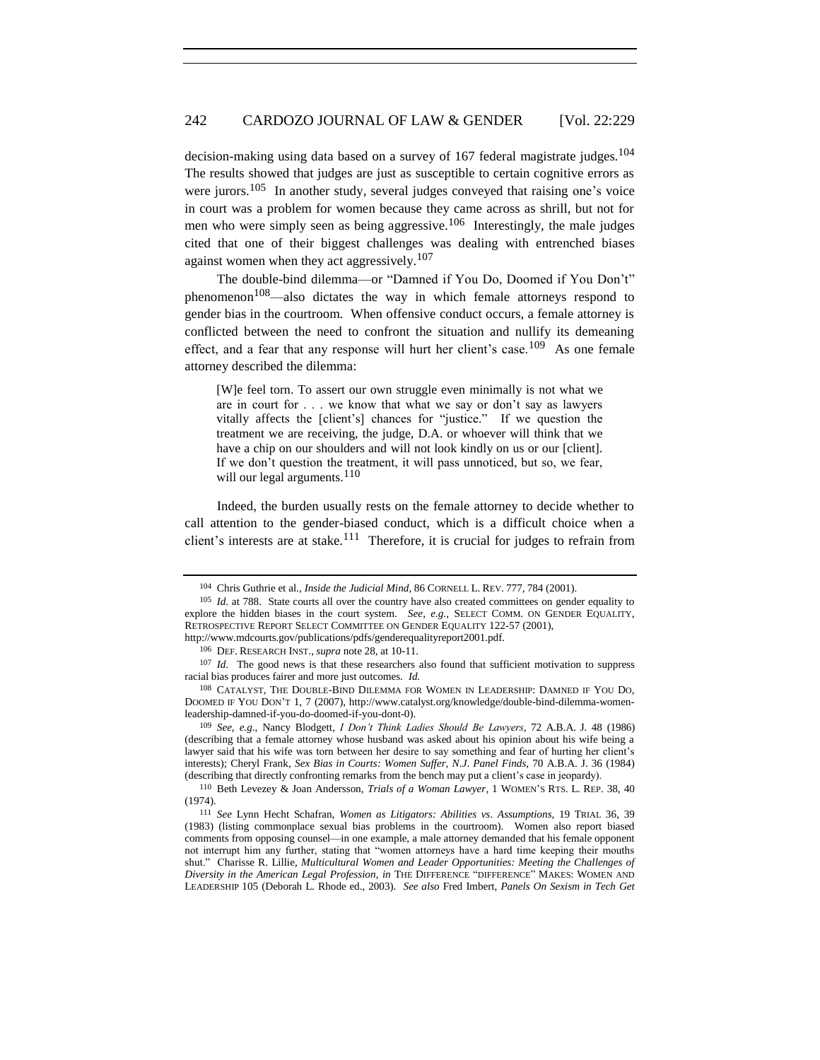decision-making using data based on a survey of 167 federal magistrate judges.<sup>104</sup> The results showed that judges are just as susceptible to certain cognitive errors as were jurors.<sup>105</sup> In another study, several judges conveyed that raising one's voice in court was a problem for women because they came across as shrill, but not for men who were simply seen as being aggressive.<sup>106</sup> Interestingly, the male judges cited that one of their biggest challenges was dealing with entrenched biases against women when they act aggressively.<sup>107</sup>

The double-bind dilemma—or "Damned if You Do, Doomed if You Don't" phenomenon<sup>108</sup>—also dictates the way in which female attorneys respond to gender bias in the courtroom. When offensive conduct occurs, a female attorney is conflicted between the need to confront the situation and nullify its demeaning effect, and a fear that any response will hurt her client's case.<sup>109</sup> As one female attorney described the dilemma:

[W]e feel torn. To assert our own struggle even minimally is not what we are in court for . . . we know that what we say or don't say as lawyers vitally affects the [client's] chances for "justice." If we question the treatment we are receiving, the judge, D.A. or whoever will think that we have a chip on our shoulders and will not look kindly on us or our [client]. If we don't question the treatment, it will pass unnoticed, but so, we fear, will our legal arguments. $110$ 

Indeed, the burden usually rests on the female attorney to decide whether to call attention to the gender-biased conduct, which is a difficult choice when a client's interests are at stake.<sup>111</sup> Therefore, it is crucial for judges to refrain from

<sup>104</sup> Chris Guthrie et al., *Inside the Judicial Mind*, 86 CORNELL L. REV. 777, 784 (2001).

<sup>105</sup> *Id.* at 788. State courts all over the country have also created committees on gender equality to explore the hidden biases in the court system. *See*, *e.g.*, SELECT COMM. ON GENDER EQUALITY, RETROSPECTIVE REPORT SELECT COMMITTEE ON GENDER EQUALITY 122-57 (2001),

http://www.mdcourts.gov/publications/pdfs/genderequalityreport2001.pdf.

<sup>106</sup> DEF. RESEARCH INST., *supra* note 28, at 10-11.

<sup>&</sup>lt;sup>107</sup> *Id.* The good news is that these researchers also found that sufficient motivation to suppress racial bias produces fairer and more just outcomes. *Id.*

<sup>108</sup> CATALYST, THE DOUBLE-BIND DILEMMA FOR WOMEN IN LEADERSHIP: DAMNED IF YOU DO, DOOMED IF YOU DON'T 1, 7 (2007), http://www.catalyst.org/knowledge/double-bind-dilemma-womenleadership-damned-if-you-do-doomed-if-you-dont-0).

<sup>109</sup> *See*, *e*.*g*., Nancy Blodgett, *I Don't Think Ladies Should Be Lawyers*, 72 A.B.A. J. 48 (1986) (describing that a female attorney whose husband was asked about his opinion about his wife being a lawyer said that his wife was torn between her desire to say something and fear of hurting her client's interests); Cheryl Frank, *Sex Bias in Courts: Women Suffer, N*.*J*. *Panel Finds*, 70 A.B.A. J. 36 (1984) (describing that directly confronting remarks from the bench may put a client's case in jeopardy).

<sup>110</sup> Beth Levezey & Joan Andersson, *Trials of a Woman Lawyer*, 1 WOMEN'S RTS. L. REP. 38, 40 (1974).

<sup>111</sup> *See* Lynn Hecht Schafran, *Women as Litigators: Abilities vs*. *Assumptions*, 19 TRIAL 36, 39 (1983) (listing commonplace sexual bias problems in the courtroom). Women also report biased comments from opposing counsel—in one example, a male attorney demanded that his female opponent not interrupt him any further, stating that "women attorneys have a hard time keeping their mouths shut." Charisse R. Lillie, *Multicultural Women and Leader Opportunities: Meeting the Challenges of Diversity in the American Legal Profession*, *in* THE DIFFERENCE "DIFFERENCE" MAKES: WOMEN AND LEADERSHIP 105 (Deborah L. Rhode ed., 2003). *See also* Fred Imbert, *Panels On Sexism in Tech Get*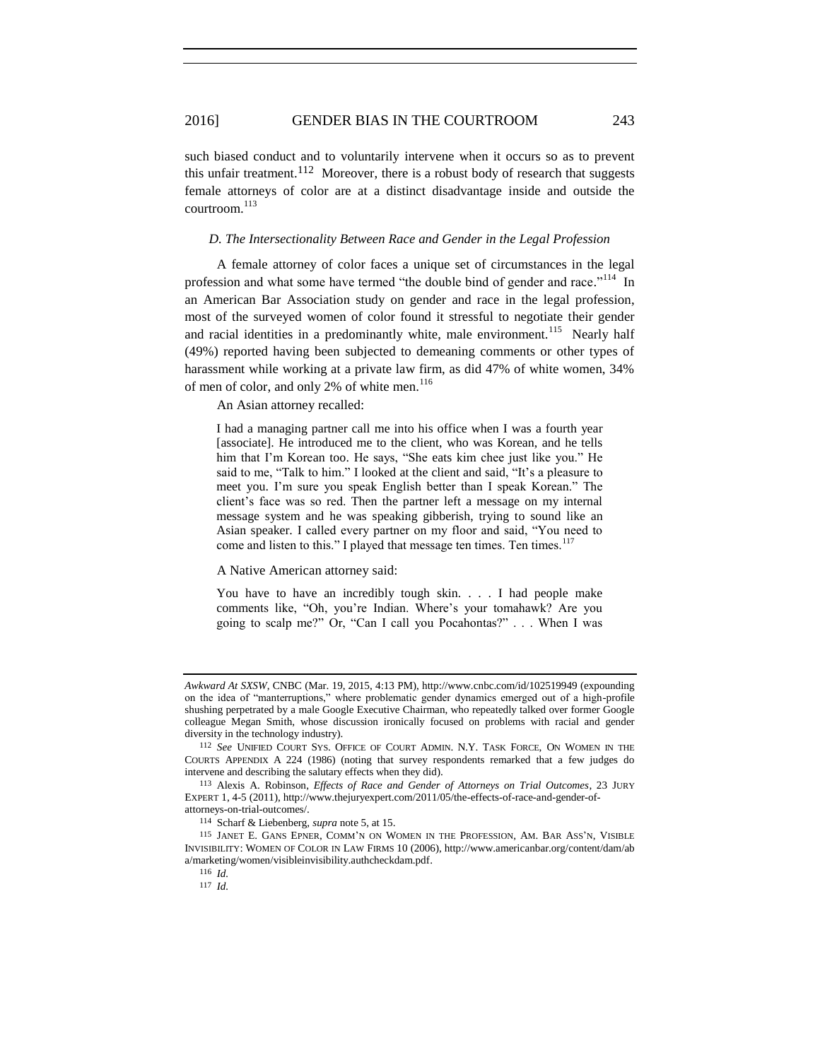such biased conduct and to voluntarily intervene when it occurs so as to prevent this unfair treatment.<sup>112</sup> Moreover, there is a robust body of research that suggests female attorneys of color are at a distinct disadvantage inside and outside the courtroom. 113

#### <span id="page-14-0"></span>*D. The Intersectionality Between Race and Gender in the Legal Profession*

A female attorney of color faces a unique set of circumstances in the legal profession and what some have termed "the double bind of gender and race."<sup>114</sup> In an American Bar Association study on gender and race in the legal profession, most of the surveyed women of color found it stressful to negotiate their gender and racial identities in a predominantly white, male environment.<sup>115</sup> Nearly half (49%) reported having been subjected to demeaning comments or other types of harassment while working at a private law firm, as did 47% of white women, 34% of men of color, and only 2% of white men. $116$ 

An Asian attorney recalled:

I had a managing partner call me into his office when I was a fourth year [associate]. He introduced me to the client, who was Korean, and he tells him that I'm Korean too. He says, "She eats kim chee just like you." He said to me, "Talk to him." I looked at the client and said, "It's a pleasure to meet you. I'm sure you speak English better than I speak Korean." The client's face was so red. Then the partner left a message on my internal message system and he was speaking gibberish, trying to sound like an Asian speaker. I called every partner on my floor and said, "You need to come and listen to this." I played that message ten times. Ten times.<sup>117</sup>

#### A Native American attorney said:

You have to have an incredibly tough skin. . . . I had people make comments like, "Oh, you're Indian. Where's your tomahawk? Are you going to scalp me?" Or, "Can I call you Pocahontas?" . . . When I was

*Awkward At SXSW*, CNBC (Mar. 19, 2015, 4:13 PM), http://www.cnbc.com/id/102519949 (expounding on the idea of "manterruptions," where problematic gender dynamics emerged out of a high-profile shushing perpetrated by a male Google Executive Chairman, who repeatedly talked over former Google colleague Megan Smith, whose discussion ironically focused on problems with racial and gender diversity in the technology industry).

<sup>112</sup> *See* UNIFIED COURT SYS. OFFICE OF COURT ADMIN. N.Y. TASK FORCE, ON WOMEN IN THE COURTS APPENDIX A 224 (1986) (noting that survey respondents remarked that a few judges do intervene and describing the salutary effects when they did).

<sup>113</sup> Alexis A. Robinson, *Effects of Race and Gender of Attorneys on Trial Outcomes*, 23 JURY EXPERT 1, 4-5 (2011), http://www.thejuryexpert.com/2011/05/the-effects-of-race-and-gender-ofattorneys-on-trial-outcomes/.

<sup>114</sup> Scharf & Liebenberg, *supra* note 5, at 15.

<sup>115</sup> JANET E. GANS EPNER, COMM'N ON WOMEN IN THE PROFESSION, AM. BAR ASS'N, VISIBLE INVISIBILITY: WOMEN OF COLOR IN LAW FIRMS 10 (2006), http://www.americanbar.org/content/dam/ab a/marketing/women/visibleinvisibility.authcheckdam.pdf.

<sup>116</sup> *Id.*

<sup>117</sup> *Id.*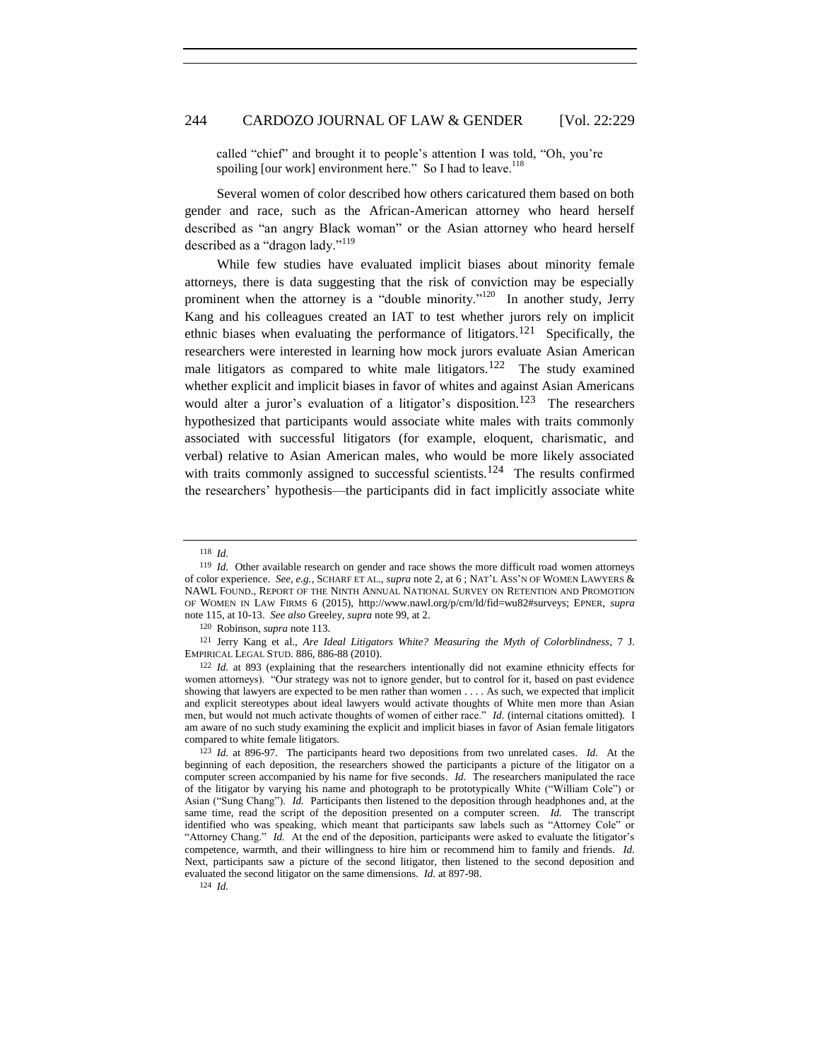called "chief" and brought it to people's attention I was told, "Oh, you're spoiling [our work] environment here." So I had to leave.<sup>118</sup>

Several women of color described how others caricatured them based on both gender and race, such as the African-American attorney who heard herself described as "an angry Black woman" or the Asian attorney who heard herself described as a "dragon lady."<sup>119</sup>

While few studies have evaluated implicit biases about minority female attorneys, there is data suggesting that the risk of conviction may be especially prominent when the attorney is a "double minority."<sup>120</sup> In another study, Jerry Kang and his colleagues created an IAT to test whether jurors rely on implicit ethnic biases when evaluating the performance of litigators.<sup>121</sup> Specifically, the researchers were interested in learning how mock jurors evaluate Asian American male litigators as compared to white male litigators.<sup>122</sup> The study examined whether explicit and implicit biases in favor of whites and against Asian Americans would alter a juror's evaluation of a litigator's disposition.<sup>123</sup> The researchers hypothesized that participants would associate white males with traits commonly associated with successful litigators (for example, eloquent, charismatic, and verbal) relative to Asian American males, who would be more likely associated with traits commonly assigned to successful scientists.<sup>124</sup> The results confirmed the researchers' hypothesis—the participants did in fact implicitly associate white

124 *Id.*

<sup>118</sup> *Id.*

<sup>&</sup>lt;sup>119</sup> *Id.* Other available research on gender and race shows the more difficult road women attorneys of color experience. *See*, *e.g.*, SCHARF ET AL., *supra* note 2, at 6 ; NAT'L ASS'N OF WOMEN LAWYERS & NAWL FOUND., REPORT OF THE NINTH ANNUAL NATIONAL SURVEY ON RETENTION AND PROMOTION OF WOMEN IN LAW FIRMS 6 (2015), http://www.nawl.org/p/cm/ld/fid=wu82#surveys; EPNER, *supra* note 115, at 10-13. *See also* Greeley, *supra* note 99, at 2.

<sup>120</sup> Robinson, *supra* note 113.

<sup>121</sup> Jerry Kang et al., *Are Ideal Litigators White? Measuring the Myth of Colorblindness*, 7 J. EMPIRICAL LEGAL STUD. 886, 886-88 (2010).

<sup>122</sup> *Id.* at 893 (explaining that the researchers intentionally did not examine ethnicity effects for women attorneys). "Our strategy was not to ignore gender, but to control for it, based on past evidence showing that lawyers are expected to be men rather than women . . . . As such, we expected that implicit and explicit stereotypes about ideal lawyers would activate thoughts of White men more than Asian men, but would not much activate thoughts of women of either race." *Id.* (internal citations omitted). I am aware of no such study examining the explicit and implicit biases in favor of Asian female litigators compared to white female litigators.

<sup>123</sup> *Id.* at 896-97. The participants heard two depositions from two unrelated cases. *Id.* At the beginning of each deposition, the researchers showed the participants a picture of the litigator on a computer screen accompanied by his name for five seconds. *Id.* The researchers manipulated the race of the litigator by varying his name and photograph to be prototypically White ("William Cole") or Asian ("Sung Chang"). *Id.* Participants then listened to the deposition through headphones and, at the same time, read the script of the deposition presented on a computer screen. *Id.* The transcript identified who was speaking, which meant that participants saw labels such as "Attorney Cole" or "Attorney Chang." *Id.* At the end of the deposition, participants were asked to evaluate the litigator's competence, warmth, and their willingness to hire him or recommend him to family and friends. *Id.* Next, participants saw a picture of the second litigator, then listened to the second deposition and evaluated the second litigator on the same dimensions. *Id.* at 897-98.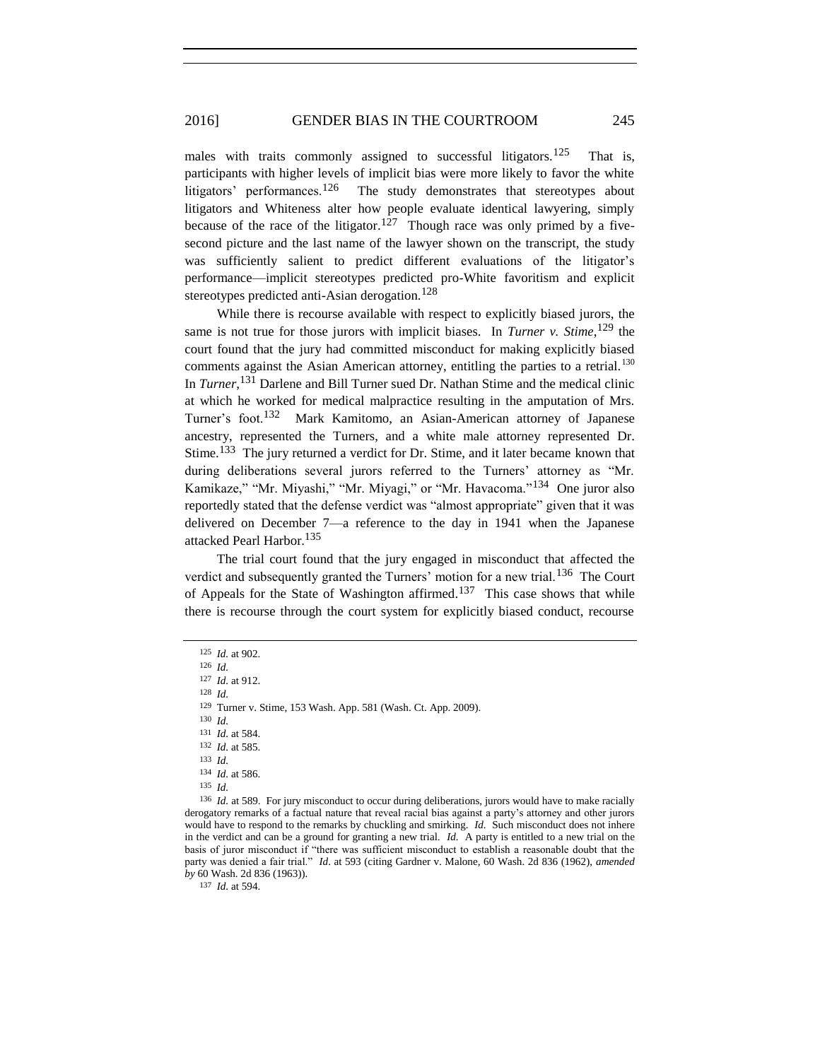males with traits commonly assigned to successful litigators.<sup>125</sup> That is, participants with higher levels of implicit bias were more likely to favor the white litigators' performances.<sup>126</sup> The study demonstrates that stereotypes about litigators and Whiteness alter how people evaluate identical lawyering, simply because of the race of the litigator.<sup>127</sup> Though race was only primed by a fivesecond picture and the last name of the lawyer shown on the transcript, the study was sufficiently salient to predict different evaluations of the litigator's performance—implicit stereotypes predicted pro-White favoritism and explicit stereotypes predicted anti-Asian derogation.<sup>128</sup>

While there is recourse available with respect to explicitly biased jurors, the same is not true for those jurors with implicit biases. In *Turner v. Stime*, <sup>129</sup> the court found that the jury had committed misconduct for making explicitly biased comments against the Asian American attorney, entitling the parties to a retrial.<sup>130</sup> In *Turner*, <sup>131</sup> Darlene and Bill Turner sued Dr. Nathan Stime and the medical clinic at which he worked for medical malpractice resulting in the amputation of Mrs. Turner's foot.<sup>132</sup> Mark Kamitomo, an Asian-American attorney of Japanese ancestry, represented the Turners, and a white male attorney represented Dr. Stime.<sup>133</sup> The jury returned a verdict for Dr. Stime, and it later became known that during deliberations several jurors referred to the Turners' attorney as "Mr. Kamikaze," "Mr. Miyashi," "Mr. Miyagi," or "Mr. Havacoma."<sup>134</sup> One juror also reportedly stated that the defense verdict was "almost appropriate" given that it was delivered on December 7—a reference to the day in 1941 when the Japanese attacked Pearl Harbor.<sup>135</sup>

The trial court found that the jury engaged in misconduct that affected the verdict and subsequently granted the Turners' motion for a new trial.<sup>136</sup> The Court of Appeals for the State of Washington affirmed.<sup>137</sup> This case shows that while there is recourse through the court system for explicitly biased conduct, recourse

128 *Id.*

130 *Id.*

136 *Id.* at 589. For jury misconduct to occur during deliberations, jurors would have to make racially derogatory remarks of a factual nature that reveal racial bias against a party's attorney and other jurors would have to respond to the remarks by chuckling and smirking. *Id.* Such misconduct does not inhere in the verdict and can be a ground for granting a new trial. *Id.* A party is entitled to a new trial on the basis of juror misconduct if "there was sufficient misconduct to establish a reasonable doubt that the party was denied a fair trial." *Id*. at 593 (citing Gardner v. Malone, 60 Wash. 2d 836 (1962), *amended by* 60 Wash. 2d 836 (1963)).

137 *Id.* at 594.

<sup>125</sup> *Id.* at 902.

<sup>126</sup> *Id.* 127 *Id.* at 912.

<sup>129</sup> Turner v. Stime, 153 Wash. App. 581 (Wash. Ct. App. 2009).

<sup>131</sup> *Id.* at 584.

<sup>132</sup> *Id.* at 585.

<sup>133</sup> *Id.*

<sup>134</sup> *Id.* at 586.

<sup>135</sup> *Id.*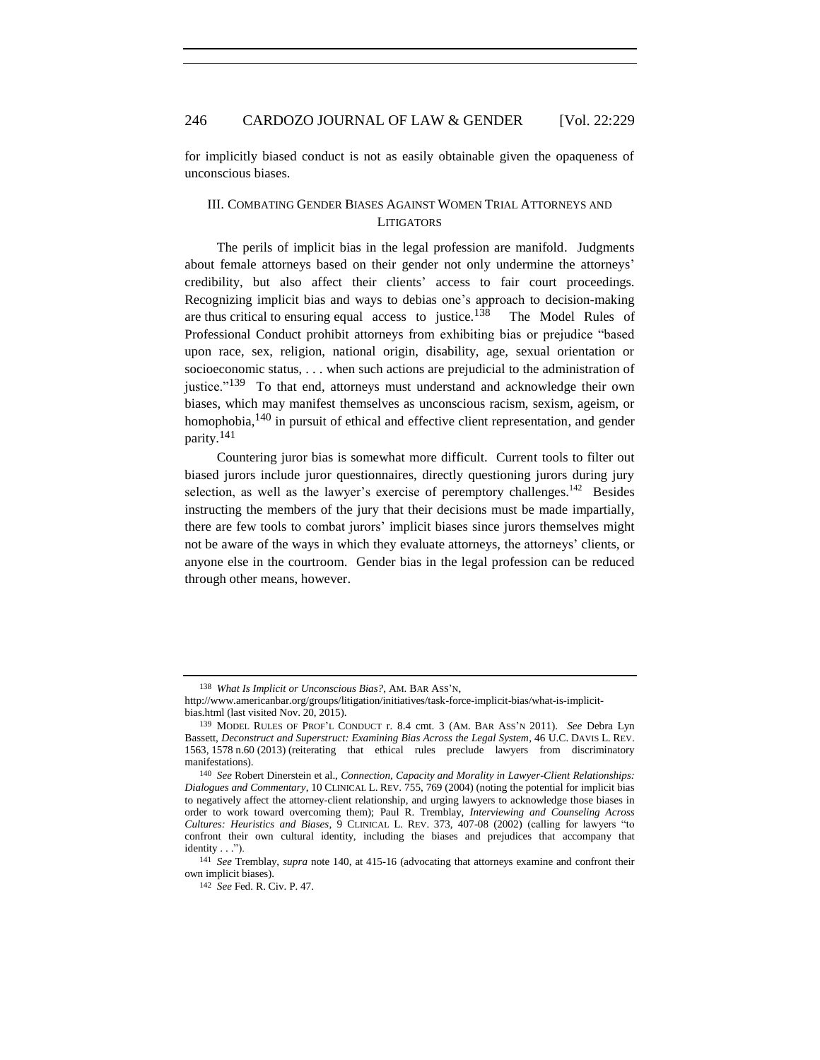for implicitly biased conduct is not as easily obtainable given the opaqueness of unconscious biases.

### <span id="page-17-0"></span>III. COMBATING GENDER BIASES AGAINST WOMEN TRIAL ATTORNEYS AND **LITIGATORS**

The perils of implicit bias in the legal profession are manifold. Judgments about female attorneys based on their gender not only undermine the attorneys' credibility, but also affect their clients' access to fair court proceedings. Recognizing implicit bias and ways to debias one's approach to decision-making are thus critical to ensuring equal access to justice.<sup>138</sup> The Model Rules of Professional Conduct prohibit attorneys from exhibiting bias or prejudice "based upon race, sex, religion, national origin, disability, age, sexual orientation or socioeconomic status, . . . when such actions are prejudicial to the administration of justice."<sup>139</sup> To that end, attorneys must understand and acknowledge their own biases, which may manifest themselves as unconscious racism, sexism, ageism, or homophobia,<sup>140</sup> in pursuit of ethical and effective client representation, and gender parity. 141

Countering juror bias is somewhat more difficult. Current tools to filter out biased jurors include juror questionnaires, directly questioning jurors during jury selection, as well as the lawyer's exercise of peremptory challenges.<sup>142</sup> Besides instructing the members of the jury that their decisions must be made impartially, there are few tools to combat jurors' implicit biases since jurors themselves might not be aware of the ways in which they evaluate attorneys, the attorneys' clients, or anyone else in the courtroom. Gender bias in the legal profession can be reduced through other means, however.

<sup>138</sup> *What Is Implicit or Unconscious Bias?*, AM. BAR ASS'N,

http://www.americanbar.org/groups/litigation/initiatives/task-force-implicit-bias/what-is-implicitbias.html (last visited Nov. 20, 2015).

<sup>139</sup> MODEL RULES OF PROF'L CONDUCT r. 8.4 cmt. 3 (AM. BAR ASS'N 2011). *See* Debra Lyn Bassett, *Deconstruct and Superstruct: Examining Bias Across the Legal System*, 46 U.C. DAVIS L. REV. 1563, 1578 n.60 (2013) (reiterating that ethical rules preclude lawyers from discriminatory manifestations).

<sup>140</sup> *See* Robert Dinerstein et al., *Connection, Capacity and Morality in Lawyer-Client Relationships: Dialogues and Commentary*, 10 CLINICAL L. REV. 755, 769 (2004) (noting the potential for implicit bias to negatively affect the attorney-client relationship, and urging lawyers to acknowledge those biases in order to work toward overcoming them); Paul R. Tremblay, *Interviewing and Counseling Across Cultures: Heuristics and Biases*, 9 CLINICAL L. REV. 373, 407-08 (2002) (calling for lawyers "to confront their own cultural identity, including the biases and prejudices that accompany that identity . . .").

<sup>141</sup> *See* Tremblay, *supra* note 140, at 415-16 (advocating that attorneys examine and confront their own implicit biases).

<sup>142</sup> *See* Fed. R. Civ. P. 47.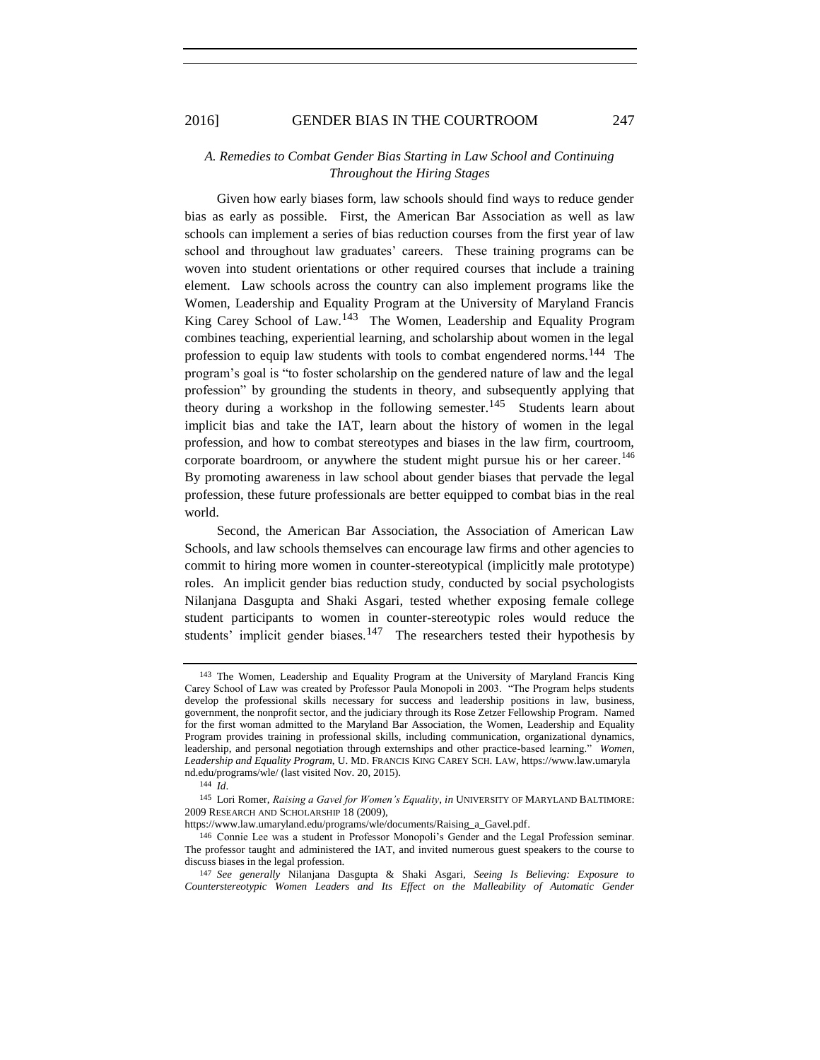## <span id="page-18-0"></span>*A. Remedies to Combat Gender Bias Starting in Law School and Continuing Throughout the Hiring Stages*

Given how early biases form, law schools should find ways to reduce gender bias as early as possible. First, the American Bar Association as well as law schools can implement a series of bias reduction courses from the first year of law school and throughout law graduates' careers. These training programs can be woven into student orientations or other required courses that include a training element. Law schools across the country can also implement programs like the Women, Leadership and Equality Program at the University of Maryland Francis King Carey School of Law.<sup>143</sup> The Women, Leadership and Equality Program combines teaching, experiential learning, and scholarship about women in the legal profession to equip law students with tools to combat engendered norms.<sup>144</sup> The program's goal is "to foster scholarship on the gendered nature of law and the legal profession" by grounding the students in theory, and subsequently applying that theory during a workshop in the following semester.<sup>145</sup> Students learn about implicit bias and take the IAT, learn about the history of women in the legal profession, and how to combat stereotypes and biases in the law firm, courtroom, corporate boardroom, or anywhere the student might pursue his or her career.<sup>146</sup> By promoting awareness in law school about gender biases that pervade the legal profession, these future professionals are better equipped to combat bias in the real world.

Second, the American Bar Association, the Association of American Law Schools, and law schools themselves can encourage law firms and other agencies to commit to hiring more women in counter-stereotypical (implicitly male prototype) roles. An implicit gender bias reduction study, conducted by social psychologists Nilanjana Dasgupta and Shaki Asgari, tested whether exposing female college student participants to women in counter-stereotypic roles would reduce the students' implicit gender biases.<sup>147</sup> The researchers tested their hypothesis by

144 *Id*.

<sup>143</sup> The Women, Leadership and Equality Program at the University of Maryland Francis King Carey School of Law was created by Professor Paula Monopoli in 2003. "The Program helps students develop the professional skills necessary for success and leadership positions in law, business, government, the nonprofit sector, and the judiciary through its Rose Zetzer Fellowship Program. Named for the first woman admitted to the Maryland Bar Association, the Women, Leadership and Equality Program provides training in professional skills, including communication, organizational dynamics, leadership, and personal negotiation through externships and other practice-based learning." *Women, Leadership and Equality Program*, U. MD. FRANCIS KING CAREY SCH. LAW, https://www.law.umaryla nd.edu/programs/wle/ (last visited Nov. 20, 2015).

<sup>145</sup> Lori Romer, *Raising a Gavel for Women's Equality*, *in* UNIVERSITY OF MARYLAND BALTIMORE: 2009 RESEARCH AND SCHOLARSHIP 18 (2009),

https://www.law.umaryland.edu/programs/wle/documents/Raising\_a\_Gavel.pdf.

<sup>146</sup> Connie Lee was a student in Professor Monopoli's Gender and the Legal Profession seminar. The professor taught and administered the IAT, and invited numerous guest speakers to the course to discuss biases in the legal profession.

<sup>147</sup> *See generally* Nilanjana Dasgupta & Shaki Asgari, *Seeing Is Believing: Exposure to Counterstereotypic Women Leaders and Its Effect on the Malleability of Automatic Gender*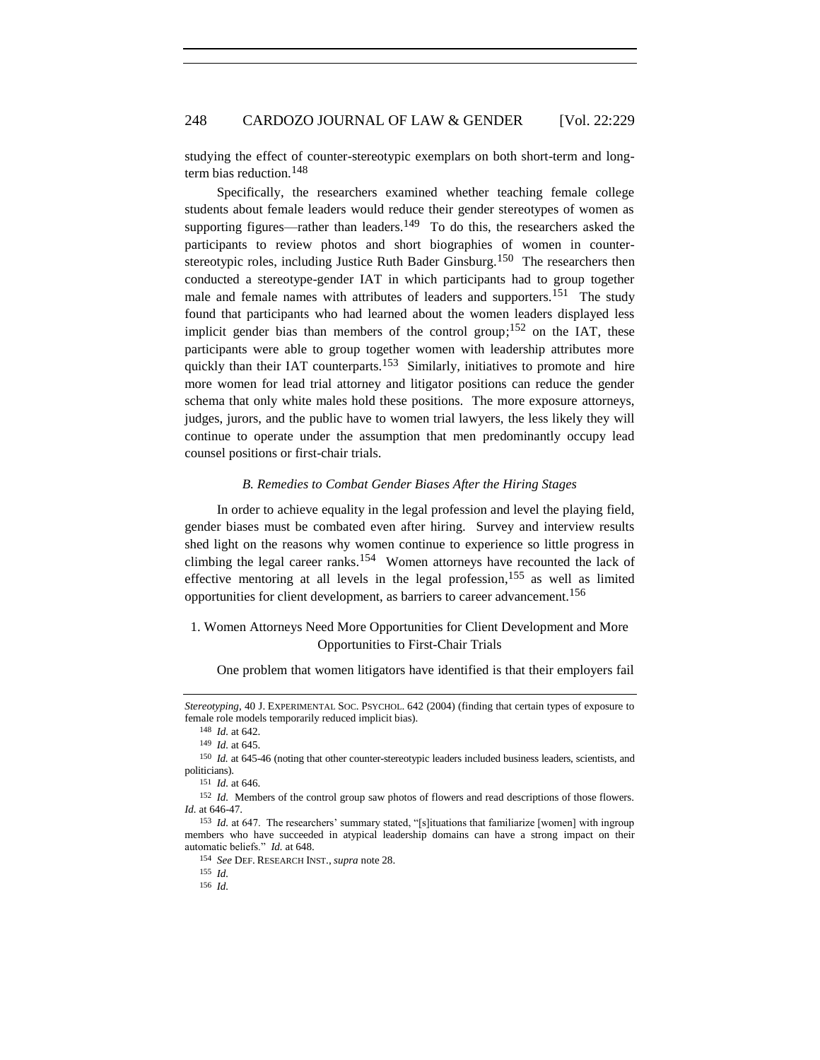studying the effect of counter-stereotypic exemplars on both short-term and longterm bias reduction.<sup>148</sup>

Specifically, the researchers examined whether teaching female college students about female leaders would reduce their gender stereotypes of women as supporting figures—rather than leaders.<sup>149</sup> To do this, the researchers asked the participants to review photos and short biographies of women in counterstereotypic roles, including Justice Ruth Bader Ginsburg.<sup>150</sup> The researchers then conducted a stereotype-gender IAT in which participants had to group together male and female names with attributes of leaders and supporters.<sup>151</sup> The study found that participants who had learned about the women leaders displayed less implicit gender bias than members of the control group;<sup>152</sup> on the IAT, these participants were able to group together women with leadership attributes more quickly than their IAT counterparts.<sup>153</sup> Similarly, initiatives to promote and hire more women for lead trial attorney and litigator positions can reduce the gender schema that only white males hold these positions. The more exposure attorneys, judges, jurors, and the public have to women trial lawyers, the less likely they will continue to operate under the assumption that men predominantly occupy lead counsel positions or first-chair trials.

#### <span id="page-19-0"></span>*B. Remedies to Combat Gender Biases After the Hiring Stages*

In order to achieve equality in the legal profession and level the playing field, gender biases must be combated even after hiring. Survey and interview results shed light on the reasons why women continue to experience so little progress in climbing the legal career ranks.<sup>154</sup> Women attorneys have recounted the lack of effective mentoring at all levels in the legal profession, <sup>155</sup> as well as limited opportunities for client development, as barriers to career advancement. 156

## <span id="page-19-1"></span>1. Women Attorneys Need More Opportunities for Client Development and More Opportunities to First-Chair Trials

One problem that women litigators have identified is that their employers fail

*Stereotyping*, 40 J. EXPERIMENTAL SOC. PSYCHOL. 642 (2004) (finding that certain types of exposure to female role models temporarily reduced implicit bias).

<sup>148</sup> *Id.* at 642.

<sup>149</sup> *Id.* at 645.

<sup>150</sup> *Id.* at 645-46 (noting that other counter-stereotypic leaders included business leaders, scientists, and politicians).

<sup>151</sup> *Id.* at 646.

<sup>152</sup> *Id.* Members of the control group saw photos of flowers and read descriptions of those flowers. *Id.* at 646-47.

<sup>153</sup> *Id.* at 647. The researchers' summary stated, "[s]ituations that familiarize [women] with ingroup members who have succeeded in atypical leadership domains can have a strong impact on their automatic beliefs." *Id.* at 648.

<sup>154</sup> *See* DEF. RESEARCH INST., *supra* note 28.

<sup>155</sup> *Id.*

<sup>156</sup> *Id.*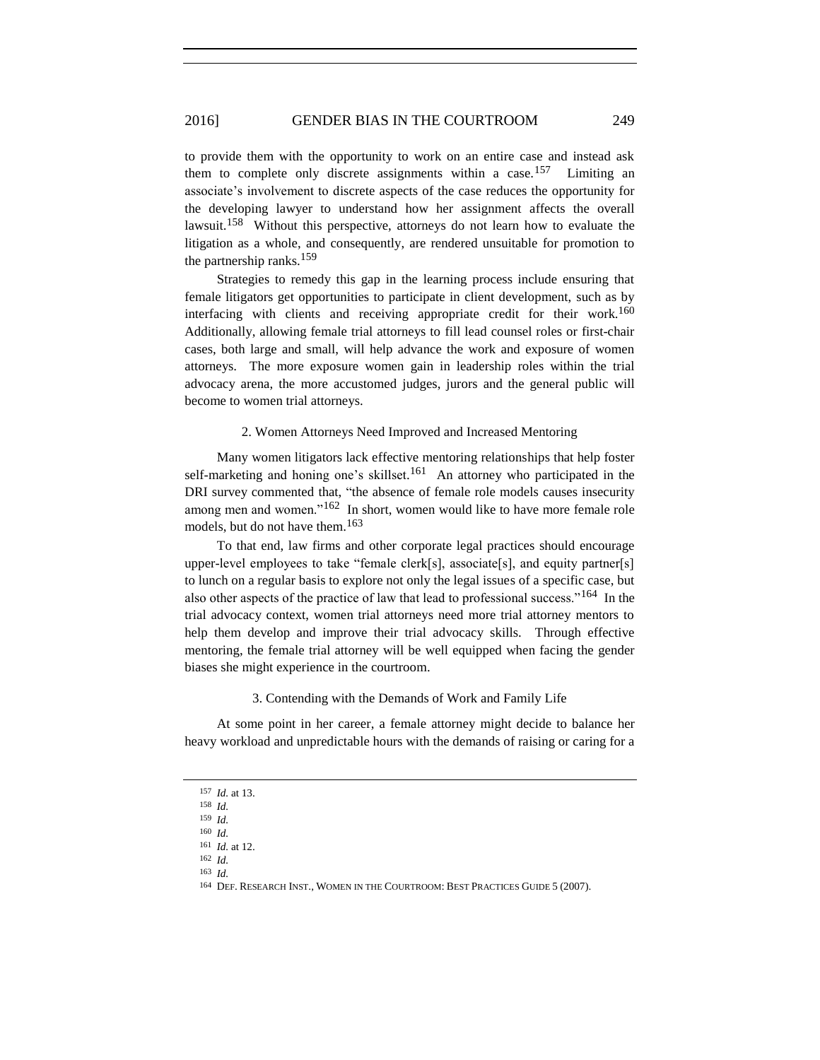to provide them with the opportunity to work on an entire case and instead ask them to complete only discrete assignments within a case.<sup>157</sup> Limiting an associate's involvement to discrete aspects of the case reduces the opportunity for the developing lawyer to understand how her assignment affects the overall lawsuit.<sup>158</sup> Without this perspective, attorneys do not learn how to evaluate the litigation as a whole, and consequently, are rendered unsuitable for promotion to the partnership ranks. 159

Strategies to remedy this gap in the learning process include ensuring that female litigators get opportunities to participate in client development, such as by interfacing with clients and receiving appropriate credit for their work.<sup>160</sup> Additionally, allowing female trial attorneys to fill lead counsel roles or first-chair cases, both large and small, will help advance the work and exposure of women attorneys. The more exposure women gain in leadership roles within the trial advocacy arena, the more accustomed judges, jurors and the general public will become to women trial attorneys.

### 2. Women Attorneys Need Improved and Increased Mentoring

<span id="page-20-0"></span>Many women litigators lack effective mentoring relationships that help foster self-marketing and honing one's skillset.<sup>161</sup> An attorney who participated in the DRI survey commented that, "the absence of female role models causes insecurity among men and women."<sup>162</sup> In short, women would like to have more female role models, but do not have them. 163

To that end, law firms and other corporate legal practices should encourage upper-level employees to take "female clerk[s], associate[s], and equity partner[s] to lunch on a regular basis to explore not only the legal issues of a specific case, but also other aspects of the practice of law that lead to professional success."<sup>164</sup> In the trial advocacy context, women trial attorneys need more trial attorney mentors to help them develop and improve their trial advocacy skills. Through effective mentoring, the female trial attorney will be well equipped when facing the gender biases she might experience in the courtroom.

#### 3. Contending with the Demands of Work and Family Life

<span id="page-20-1"></span>At some point in her career, a female attorney might decide to balance her heavy workload and unpredictable hours with the demands of raising or caring for a

163 *Id.*

<sup>157</sup> *Id.* at 13.

<sup>158</sup> *Id.*

<sup>159</sup> *Id.* 160 *Id.*

<sup>161</sup> *Id.* at 12.

<sup>162</sup> *Id.*

<sup>164</sup> DEF. RESEARCH INST., WOMEN IN THE COURTROOM: BEST PRACTICES GUIDE 5 (2007).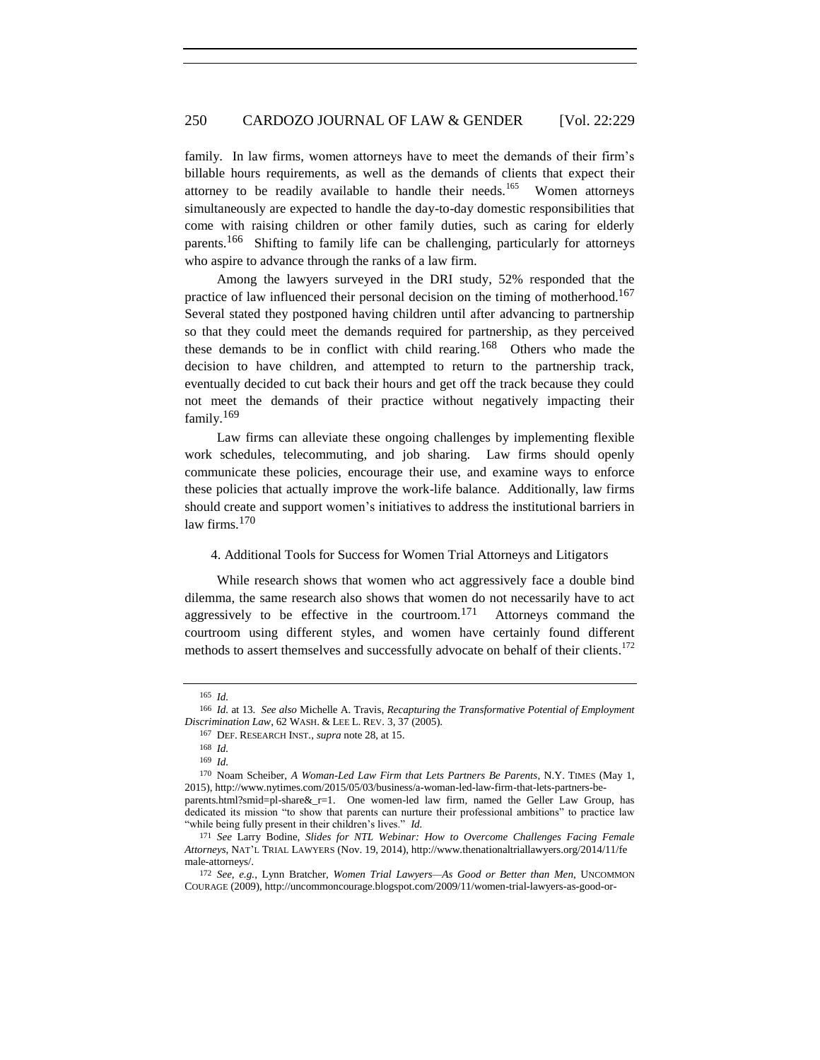family. In law firms, women attorneys have to meet the demands of their firm's billable hours requirements, as well as the demands of clients that expect their attorney to be readily available to handle their needs.<sup>165</sup> Women attorneys simultaneously are expected to handle the day-to-day domestic responsibilities that come with raising children or other family duties, such as caring for elderly parents.<sup>166</sup> Shifting to family life can be challenging, particularly for attorneys who aspire to advance through the ranks of a law firm.

Among the lawyers surveyed in the DRI study, 52% responded that the practice of law influenced their personal decision on the timing of motherhood.<sup>167</sup> Several stated they postponed having children until after advancing to partnership so that they could meet the demands required for partnership, as they perceived these demands to be in conflict with child rearing.<sup>168</sup> Others who made the decision to have children, and attempted to return to the partnership track, eventually decided to cut back their hours and get off the track because they could not meet the demands of their practice without negatively impacting their family.<sup>169</sup>

Law firms can alleviate these ongoing challenges by implementing flexible work schedules, telecommuting, and job sharing. Law firms should openly communicate these policies, encourage their use, and examine ways to enforce these policies that actually improve the work-life balance. Additionally, law firms should create and support women's initiatives to address the institutional barriers in law firms. 170

#### <span id="page-21-0"></span>4. Additional Tools for Success for Women Trial Attorneys and Litigators

While research shows that women who act aggressively face a double bind dilemma, the same research also shows that women do not necessarily have to act aggressively to be effective in the courtroom.<sup>171</sup> Attorneys command the courtroom using different styles, and women have certainly found different methods to assert themselves and successfully advocate on behalf of their clients.<sup>172</sup>

<sup>165</sup> *Id.*

<sup>166</sup> *Id.* at 13. *See also* Michelle A. Travis, *Recapturing the Transformative Potential of Employment Discrimination Law*, 62 WASH. & LEE L. REV. 3, 37 (2005).

<sup>167</sup> DEF. RESEARCH INST., *supra* note 28, at 15.

<sup>168</sup> *Id.*

<sup>169</sup> *Id.*

<sup>170</sup> Noam Scheiber, *A Woman-Led Law Firm that Lets Partners Be Parents*, N.Y. TIMES (May 1, 2015), http://www.nytimes.com/2015/05/03/business/a-woman-led-law-firm-that-lets-partners-beparents.html?smid=pl-share&\_r=1. One women-led law firm, named the Geller Law Group, has dedicated its mission "to show that parents can nurture their professional ambitions" to practice law "while being fully present in their children's lives." *Id.*

<sup>171</sup> *See* Larry Bodine, *Slides for NTL Webinar: How to Overcome Challenges Facing Female Attorneys*, NAT'L TRIAL LAWYERS (Nov. 19, 2014), http://www.thenationaltriallawyers.org/2014/11/fe male-attorneys/.

<sup>172</sup> *See*, *e.g.*, Lynn Bratcher, *Women Trial Lawyers—As Good or Better than Men*, UNCOMMON COURAGE (2009), http://uncommoncourage.blogspot.com/2009/11/women-trial-lawyers-as-good-or-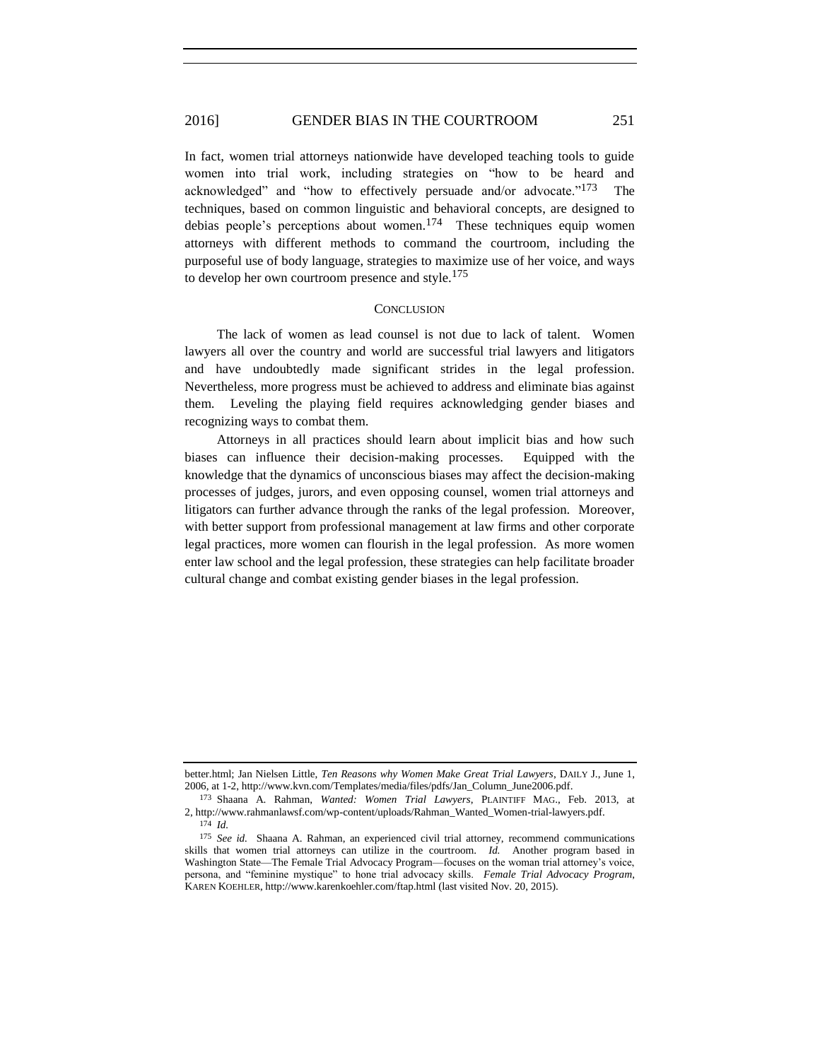### 2016] GENDER BIAS IN THE COURTROOM 251

In fact, women trial attorneys nationwide have developed teaching tools to guide women into trial work, including strategies on "how to be heard and acknowledged" and "how to effectively persuade and/or advocate."<sup>173</sup> The techniques, based on common linguistic and behavioral concepts, are designed to debias people's perceptions about women.<sup>174</sup> These techniques equip women attorneys with different methods to command the courtroom, including the purposeful use of body language, strategies to maximize use of her voice, and ways to develop her own courtroom presence and style.<sup>175</sup>

#### **CONCLUSION**

<span id="page-22-0"></span>The lack of women as lead counsel is not due to lack of talent. Women lawyers all over the country and world are successful trial lawyers and litigators and have undoubtedly made significant strides in the legal profession. Nevertheless, more progress must be achieved to address and eliminate bias against them. Leveling the playing field requires acknowledging gender biases and recognizing ways to combat them.

Attorneys in all practices should learn about implicit bias and how such biases can influence their decision-making processes. Equipped with the knowledge that the dynamics of unconscious biases may affect the decision-making processes of judges, jurors, and even opposing counsel, women trial attorneys and litigators can further advance through the ranks of the legal profession. Moreover, with better support from professional management at law firms and other corporate legal practices, more women can flourish in the legal profession. As more women enter law school and the legal profession, these strategies can help facilitate broader cultural change and combat existing gender biases in the legal profession.

better.html; Jan Nielsen Little, *Ten Reasons why Women Make Great Trial Lawyers*, DAILY J., June 1, 2006, at 1-2, http://www.kvn.com/Templates/media/files/pdfs/Jan\_Column\_June2006.pdf.

<sup>173</sup> Shaana A. Rahman, *Wanted: Women Trial Lawyers*, PLAINTIFF MAG., Feb. 2013, at 2, http://www.rahmanlawsf.com/wp-content/uploads/Rahman\_Wanted\_Women-trial-lawyers.pdf. 174 *Id.*

<sup>175</sup> *See id.* Shaana A. Rahman, an experienced civil trial attorney, recommend communications skills that women trial attorneys can utilize in the courtroom. *Id.* Another program based in Washington State—The Female Trial Advocacy Program—focuses on the woman trial attorney's voice, persona, and "feminine mystique" to hone trial advocacy skills. *Female Trial Advocacy Program*, KAREN KOEHLER, http://www.karenkoehler.com/ftap.html (last visited Nov. 20, 2015).